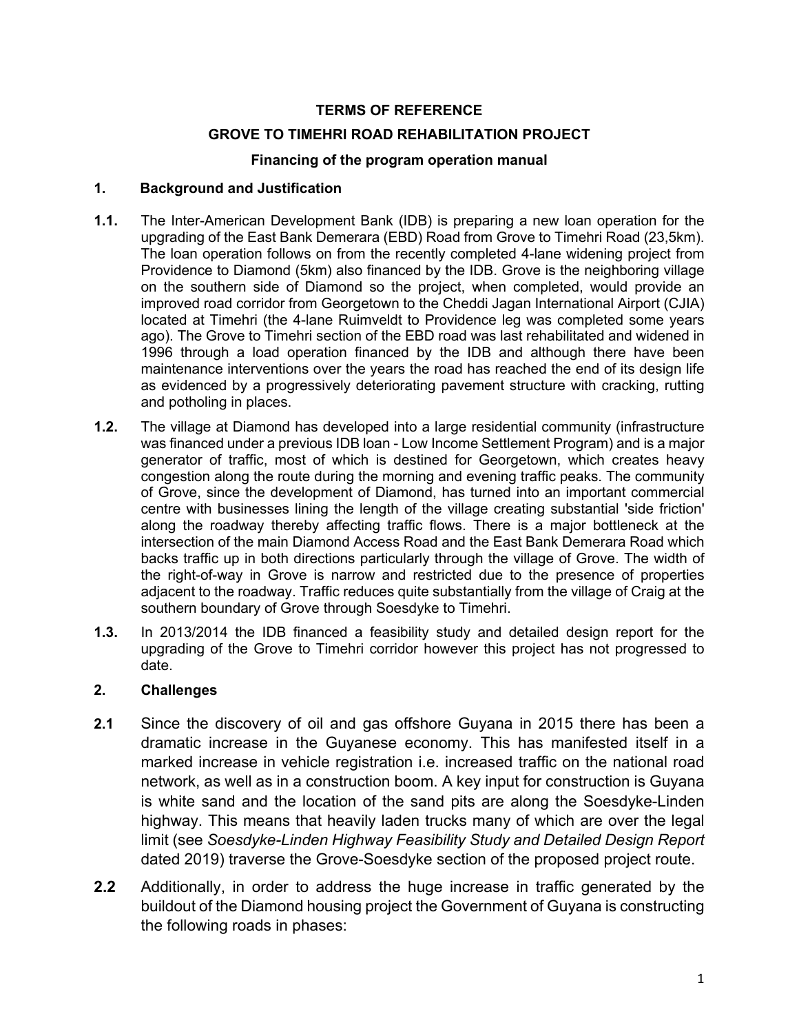# **TERMS OF REFERENCE**

### **GROVE TO TIMEHRI ROAD REHABILITATION PROJECT**

### **Financing of the program operation manual**

#### **1. Background and Justification**

- **1.1.** The Inter-American Development Bank (IDB) is preparing a new loan operation for the upgrading of the East Bank Demerara (EBD) Road from Grove to Timehri Road (23,5km). The loan operation follows on from the recently completed 4-lane widening project from Providence to Diamond (5km) also financed by the IDB. Grove is the neighboring village on the southern side of Diamond so the project, when completed, would provide an improved road corridor from Georgetown to the Cheddi Jagan International Airport (CJIA) located at Timehri (the 4-lane Ruimveldt to Providence leg was completed some years ago). The Grove to Timehri section of the EBD road was last rehabilitated and widened in 1996 through a load operation financed by the IDB and although there have been maintenance interventions over the years the road has reached the end of its design life as evidenced by a progressively deteriorating pavement structure with cracking, rutting and potholing in places.
- **1.2.** The village at Diamond has developed into a large residential community (infrastructure was financed under a previous IDB loan - Low Income Settlement Program) and is a major generator of traffic, most of which is destined for Georgetown, which creates heavy congestion along the route during the morning and evening traffic peaks. The community of Grove, since the development of Diamond, has turned into an important commercial centre with businesses lining the length of the village creating substantial 'side friction' along the roadway thereby affecting traffic flows. There is a major bottleneck at the intersection of the main Diamond Access Road and the East Bank Demerara Road which backs traffic up in both directions particularly through the village of Grove. The width of the right-of-way in Grove is narrow and restricted due to the presence of properties adjacent to the roadway. Traffic reduces quite substantially from the village of Craig at the southern boundary of Grove through Soesdyke to Timehri.
- **1.3.** In 2013/2014 the IDB financed a feasibility study and detailed design report for the upgrading of the Grove to Timehri corridor however this project has not progressed to date.

# **2. Challenges**

- **2.1** Since the discovery of oil and gas offshore Guyana in 2015 there has been a dramatic increase in the Guyanese economy. This has manifested itself in a marked increase in vehicle registration i.e. increased traffic on the national road network, as well as in a construction boom. A key input for construction is Guyana is white sand and the location of the sand pits are along the Soesdyke-Linden highway. This means that heavily laden trucks many of which are over the legal limit (see *Soesdyke-Linden Highway Feasibility Study and Detailed Design Report*  dated 2019) traverse the Grove-Soesdyke section of the proposed project route.
- **2.2** Additionally, in order to address the huge increase in traffic generated by the buildout of the Diamond housing project the Government of Guyana is constructing the following roads in phases: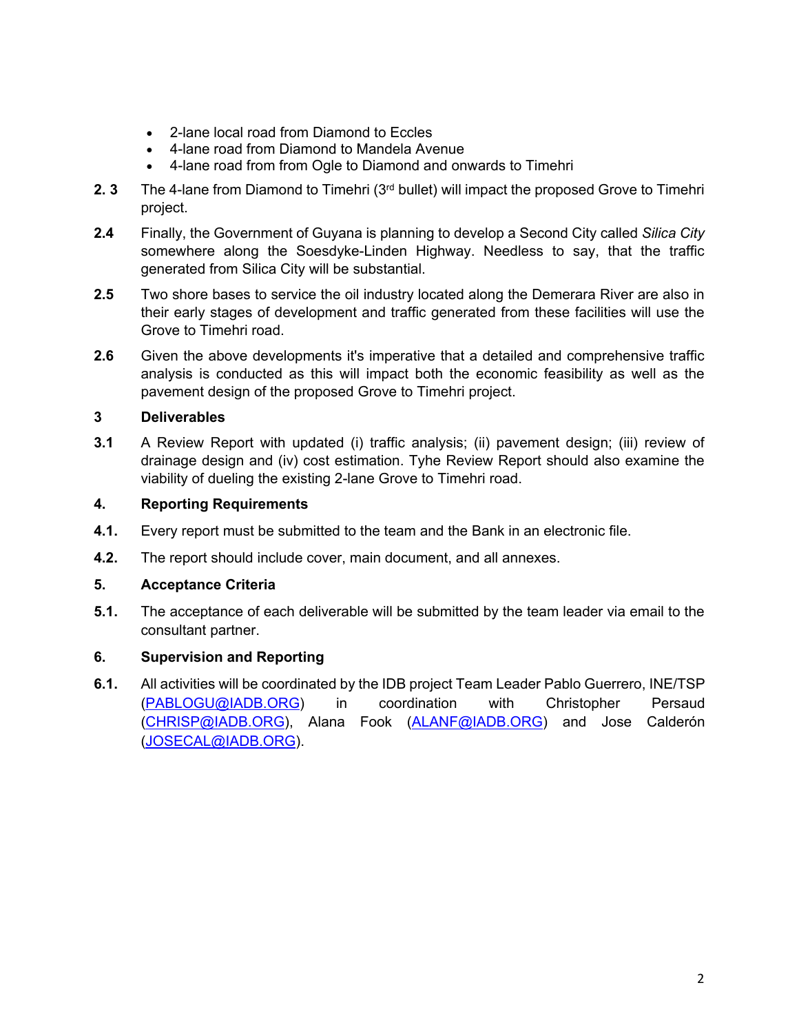- 2-lane local road from Diamond to Eccles
- 4-lane road from Diamond to Mandela Avenue
- 4-lane road from from Ogle to Diamond and onwards to Timehri
- **2. 3** The 4-lane from Diamond to Timehri (3rd bullet) will impact the proposed Grove to Timehri project.
- **2.4** Finally, the Government of Guyana is planning to develop a Second City called *Silica City* somewhere along the Soesdyke-Linden Highway. Needless to say, that the traffic generated from Silica City will be substantial.
- **2.5** Two shore bases to service the oil industry located along the Demerara River are also in their early stages of development and traffic generated from these facilities will use the Grove to Timehri road.
- **2.6** Given the above developments it's imperative that a detailed and comprehensive traffic analysis is conducted as this will impact both the economic feasibility as well as the pavement design of the proposed Grove to Timehri project.

# **3 Deliverables**

**3.1** A Review Report with updated (i) traffic analysis; (ii) pavement design; (iii) review of drainage design and (iv) cost estimation. Tyhe Review Report should also examine the viability of dueling the existing 2-lane Grove to Timehri road.

# **4. Reporting Requirements**

- **4.1.** Every report must be submitted to the team and the Bank in an electronic file.
- **4.2.** The report should include cover, main document, and all annexes.

# **5. Acceptance Criteria**

**5.1.** The acceptance of each deliverable will be submitted by the team leader via email to the consultant partner.

# **6. Supervision and Reporting**

**6.1.** All activities will be coordinated by the IDB project Team Leader Pablo Guerrero, INE/TSP ([PABLOGU@IADB.ORG\)](mailto:PABLOGU@iadb.org) in coordination with Christopher Persaud ([CHRISP@IADB.ORG](mailto:Chrisp@iadb.org)), Alana Fook ([ALANF@IADB.ORG](mailto:ALANF@iadb.org)) and Jose Calderón ([JOSECAL@IADB.ORG\)](JOSECAL@IADB.ORG).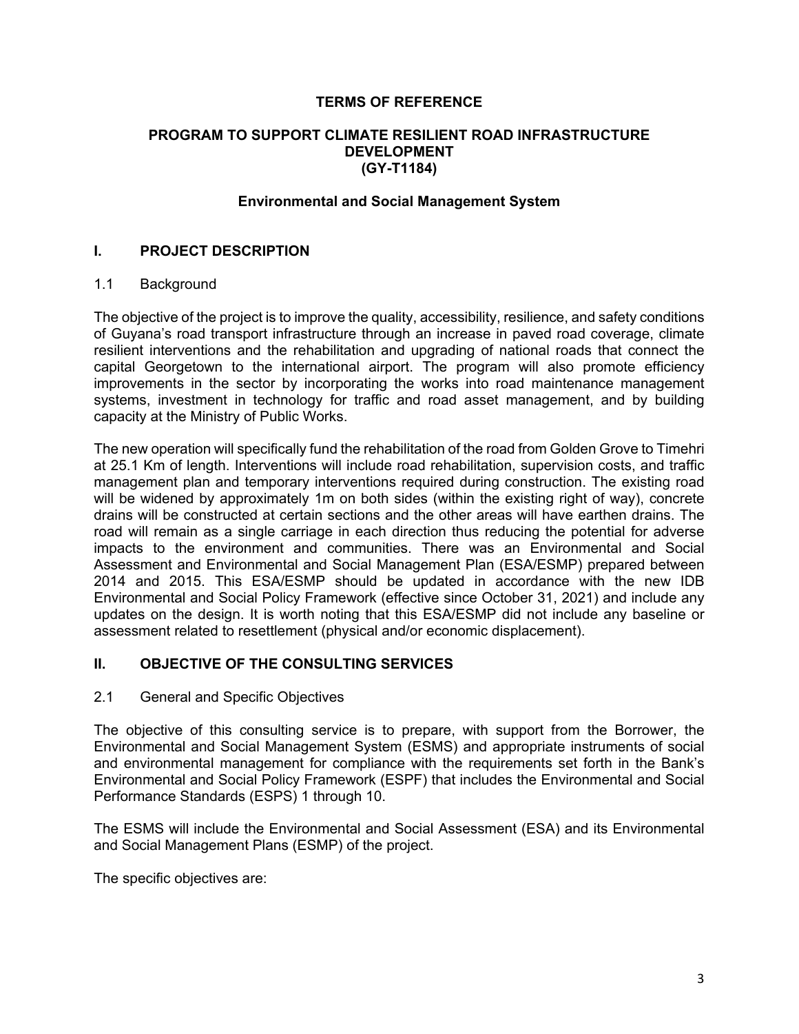### **TERMS OF REFERENCE**

#### **PROGRAM TO SUPPORT CLIMATE RESILIENT ROAD INFRASTRUCTURE DEVELOPMENT (GY-T1184)**

#### **Environmental and Social Management System**

### **I. PROJECT DESCRIPTION**

#### 1.1 Background

The objective of the project is to improve the quality, accessibility, resilience, and safety conditions of Guyana's road transport infrastructure through an increase in paved road coverage, climate resilient interventions and the rehabilitation and upgrading of national roads that connect the capital Georgetown to the international airport. The program will also promote efficiency improvements in the sector by incorporating the works into road maintenance management systems, investment in technology for traffic and road asset management, and by building capacity at the Ministry of Public Works.

The new operation will specifically fund the rehabilitation of the road from Golden Grove to Timehri at 25.1 Km of length. Interventions will include road rehabilitation, supervision costs, and traffic management plan and temporary interventions required during construction. The existing road will be widened by approximately 1m on both sides (within the existing right of way), concrete drains will be constructed at certain sections and the other areas will have earthen drains. The road will remain as a single carriage in each direction thus reducing the potential for adverse impacts to the environment and communities. There was an Environmental and Social Assessment and Environmental and Social Management Plan (ESA/ESMP) prepared between 2014 and 2015. This ESA/ESMP should be updated in accordance with the new IDB Environmental and Social Policy Framework (effective since October 31, 2021) and include any updates on the design. It is worth noting that this ESA/ESMP did not include any baseline or assessment related to resettlement (physical and/or economic displacement).

#### **II. OBJECTIVE OF THE CONSULTING SERVICES**

#### 2.1 General and Specific Objectives

The objective of this consulting service is to prepare, with support from the Borrower, the Environmental and Social Management System (ESMS) and appropriate instruments of social and environmental management for compliance with the requirements set forth in the Bank's Environmental and Social Policy Framework (ESPF) that includes the Environmental and Social Performance Standards (ESPS) 1 through 10.

The ESMS will include the Environmental and Social Assessment (ESA) and its Environmental and Social Management Plans (ESMP) of the project.

The specific objectives are: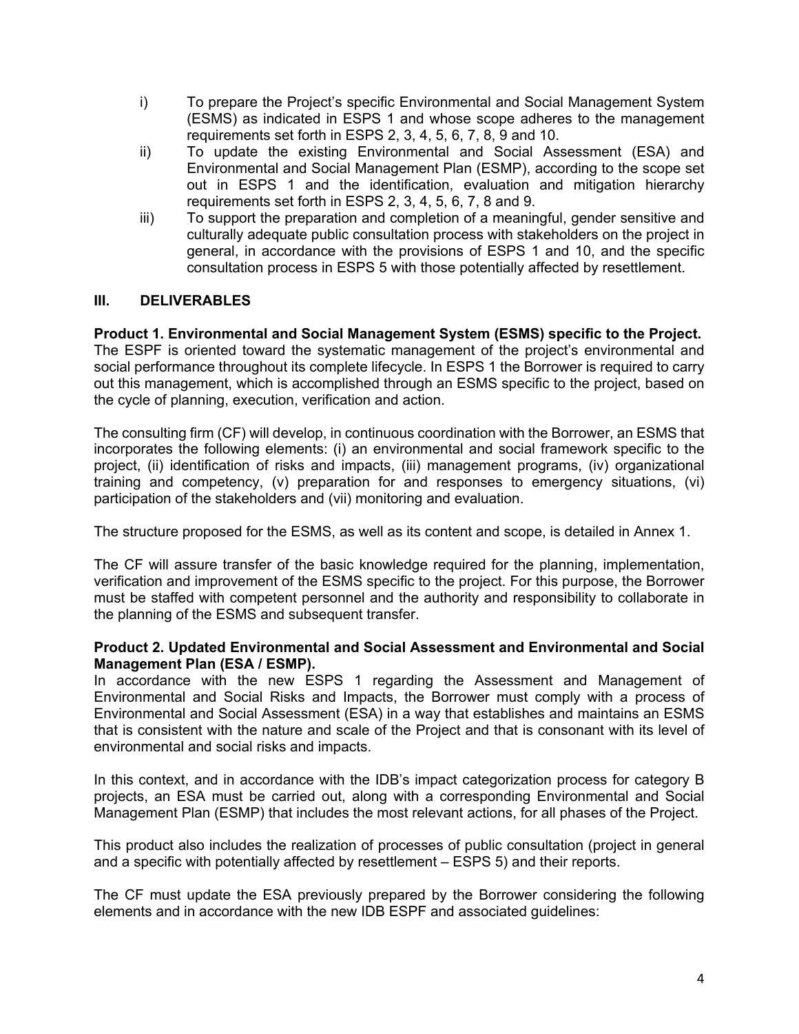- i) To prepare the Project's specific Environmental and Social Management System (ESMS) as indicated in ESPS 1 and whose scope adheres to the management requirements set forth in ESPS 2, 3, 4, 5, 6, 7, 8, 9 and 10.
- ii) To update the existing Environmental and Social Assessment (ESA) and Environmental and Social Management Plan (ESMP), according to the scope set out in ESPS 1 and the identification, evaluation and mitigation hierarchy requirements set forth in ESPS 2, 3, 4, 5, 6, 7, 8 and 9.
- iii) To support the preparation and completion of a meaningful, gender sensitive and culturally adequate public consultation process with stakeholders on the project in general, in accordance with the provisions of ESPS 1 and 10, and the specific consultation process in ESPS 5 with those potentially affected by resettlement.

# **III. DELIVERABLES**

**Product 1. Environmental and Social Management System (ESMS) specific to the Project.** The ESPF is oriented toward the systematic management of the project's environmental and social performance throughout its complete lifecycle. In ESPS 1 the Borrower is required to carry out this management, which is accomplished through an ESMS specific to the project, based on the cycle of planning, execution, verification and action.

The consulting firm (CF) will develop, in continuous coordination with the Borrower, an ESMS that incorporates the following elements: (i) an environmental and social framework specific to the project, (ii) identification of risks and impacts, (iii) management programs, (iv) organizational training and competency, (v) preparation for and responses to emergency situations, (vi) participation of the stakeholders and (vii) monitoring and evaluation.

The structure proposed for the ESMS, as well as its content and scope, is detailed in Annex 1.

The CF will assure transfer of the basic knowledge required for the planning, implementation, verification and improvement of the ESMS specific to the project. For this purpose, the Borrower must be staffed with competent personnel and the authority and responsibility to collaborate in the planning of the ESMS and subsequent transfer.

#### **Product 2. Updated Environmental and Social Assessment and Environmental and Social Management Plan (ESA / ESMP).**

In accordance with the new ESPS 1 regarding the Assessment and Management of Environmental and Social Risks and Impacts, the Borrower must comply with a process of Environmental and Social Assessment (ESA) in a way that establishes and maintains an ESMS that is consistent with the nature and scale of the Project and that is consonant with its level of environmental and social risks and impacts.

In this context, and in accordance with the IDB's impact categorization process for category B projects, an ESA must be carried out, along with a corresponding Environmental and Social Management Plan (ESMP) that includes the most relevant actions, for all phases of the Project.

This product also includes the realization of processes of public consultation (project in general and a specific with potentially affected by resettlement – ESPS 5) and their reports.

The CF must update the ESA previously prepared by the Borrower considering the following elements and in accordance with the new IDB ESPF and associated guidelines: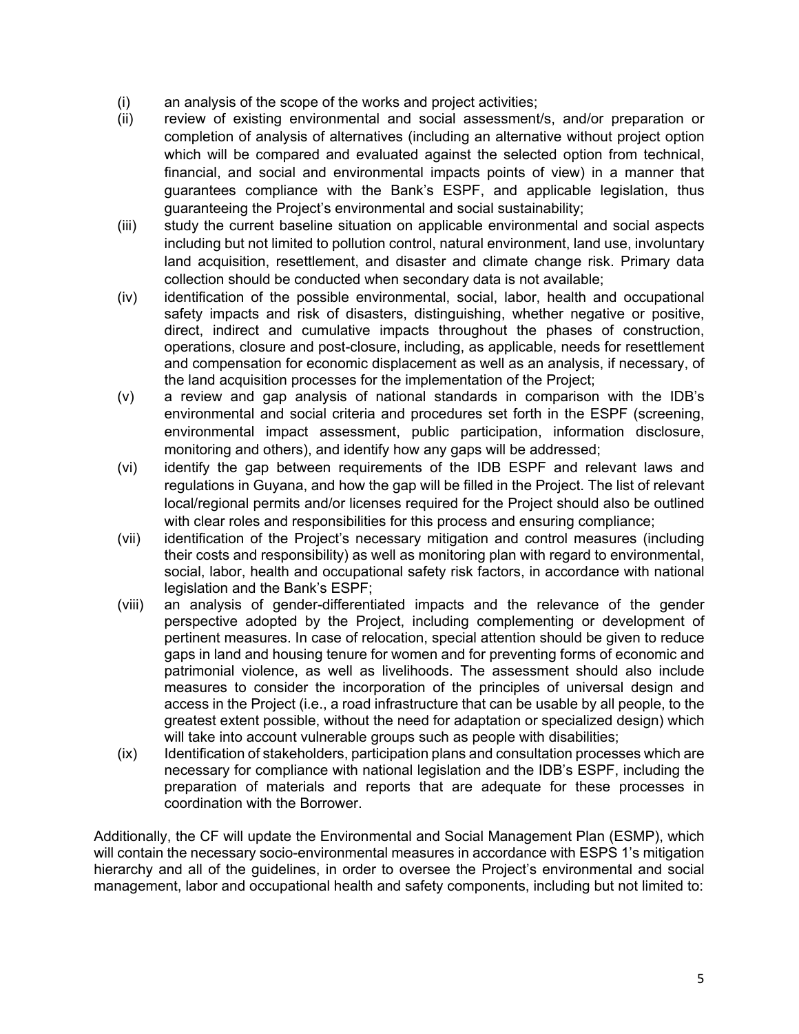- (i) an analysis of the scope of the works and project activities;
- (ii) review of existing environmental and social assessment/s, and/or preparation or completion of analysis of alternatives (including an alternative without project option which will be compared and evaluated against the selected option from technical, financial, and social and environmental impacts points of view) in a manner that guarantees compliance with the Bank's ESPF, and applicable legislation, thus guaranteeing the Project's environmental and social sustainability;
- (iii) study the current baseline situation on applicable environmental and social aspects including but not limited to pollution control, natural environment, land use, involuntary land acquisition, resettlement, and disaster and climate change risk. Primary data collection should be conducted when secondary data is not available;
- (iv) identification of the possible environmental, social, labor, health and occupational safety impacts and risk of disasters, distinguishing, whether negative or positive, direct, indirect and cumulative impacts throughout the phases of construction, operations, closure and post-closure, including, as applicable, needs for resettlement and compensation for economic displacement as well as an analysis, if necessary, of the land acquisition processes for the implementation of the Project;
- (v) a review and gap analysis of national standards in comparison with the IDB's environmental and social criteria and procedures set forth in the ESPF (screening, environmental impact assessment, public participation, information disclosure, monitoring and others), and identify how any gaps will be addressed;
- (vi) identify the gap between requirements of the IDB ESPF and relevant laws and regulations in Guyana, and how the gap will be filled in the Project. The list of relevant local/regional permits and/or licenses required for the Project should also be outlined with clear roles and responsibilities for this process and ensuring compliance;
- (vii) identification of the Project's necessary mitigation and control measures (including their costs and responsibility) as well as monitoring plan with regard to environmental, social, labor, health and occupational safety risk factors, in accordance with national legislation and the Bank's ESPF;
- (viii) an analysis of gender-differentiated impacts and the relevance of the gender perspective adopted by the Project, including complementing or development of pertinent measures. In case of relocation, special attention should be given to reduce gaps in land and housing tenure for women and for preventing forms of economic and patrimonial violence, as well as livelihoods. The assessment should also include measures to consider the incorporation of the principles of universal design and access in the Project (i.e., a road infrastructure that can be usable by all people, to the greatest extent possible, without the need for adaptation or specialized design) which will take into account vulnerable groups such as people with disabilities;
- (ix) Identification of stakeholders, participation plans and consultation processes which are necessary for compliance with national legislation and the IDB's ESPF, including the preparation of materials and reports that are adequate for these processes in coordination with the Borrower.

Additionally, the CF will update the Environmental and Social Management Plan (ESMP), which will contain the necessary socio-environmental measures in accordance with ESPS 1's mitigation hierarchy and all of the guidelines, in order to oversee the Project's environmental and social management, labor and occupational health and safety components, including but not limited to: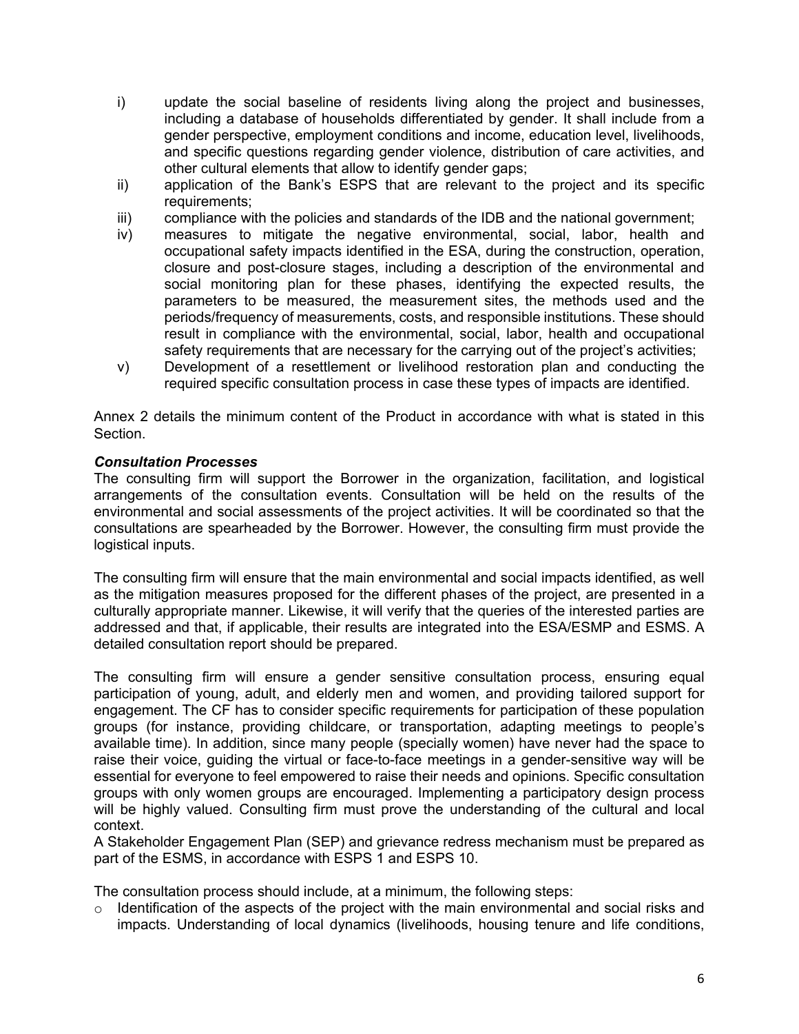- i) update the social baseline of residents living along the project and businesses, including a database of households differentiated by gender. It shall include from a gender perspective, employment conditions and income, education level, livelihoods, and specific questions regarding gender violence, distribution of care activities, and other cultural elements that allow to identify gender gaps;
- ii) application of the Bank's ESPS that are relevant to the project and its specific requirements;
- iii) compliance with the policies and standards of the IDB and the national government;
- iv) measures to mitigate the negative environmental, social, labor, health and occupational safety impacts identified in the ESA, during the construction, operation, closure and post-closure stages, including a description of the environmental and social monitoring plan for these phases, identifying the expected results, the parameters to be measured, the measurement sites, the methods used and the periods/frequency of measurements, costs, and responsible institutions. These should result in compliance with the environmental, social, labor, health and occupational safety requirements that are necessary for the carrying out of the project's activities;
- v) Development of a resettlement or livelihood restoration plan and conducting the required specific consultation process in case these types of impacts are identified.

Annex 2 details the minimum content of the Product in accordance with what is stated in this **Section** 

# *Consultation Processes*

The consulting firm will support the Borrower in the organization, facilitation, and logistical arrangements of the consultation events. Consultation will be held on the results of the environmental and social assessments of the project activities. It will be coordinated so that the consultations are spearheaded by the Borrower. However, the consulting firm must provide the logistical inputs.

The consulting firm will ensure that the main environmental and social impacts identified, as well as the mitigation measures proposed for the different phases of the project, are presented in a culturally appropriate manner. Likewise, it will verify that the queries of the interested parties are addressed and that, if applicable, their results are integrated into the ESA/ESMP and ESMS. A detailed consultation report should be prepared.

The consulting firm will ensure a gender sensitive consultation process, ensuring equal participation of young, adult, and elderly men and women, and providing tailored support for engagement. The CF has to consider specific requirements for participation of these population groups (for instance, providing childcare, or transportation, adapting meetings to people's available time). In addition, since many people (specially women) have never had the space to raise their voice, guiding the virtual or face-to-face meetings in a gender-sensitive way will be essential for everyone to feel empowered to raise their needs and opinions. Specific consultation groups with only women groups are encouraged. Implementing a participatory design process will be highly valued. Consulting firm must prove the understanding of the cultural and local context.

A Stakeholder Engagement Plan (SEP) and grievance redress mechanism must be prepared as part of the ESMS, in accordance with ESPS 1 and ESPS 10.

The consultation process should include, at a minimum, the following steps:

Identification of the aspects of the project with the main environmental and social risks and impacts. Understanding of local dynamics (livelihoods, housing tenure and life conditions,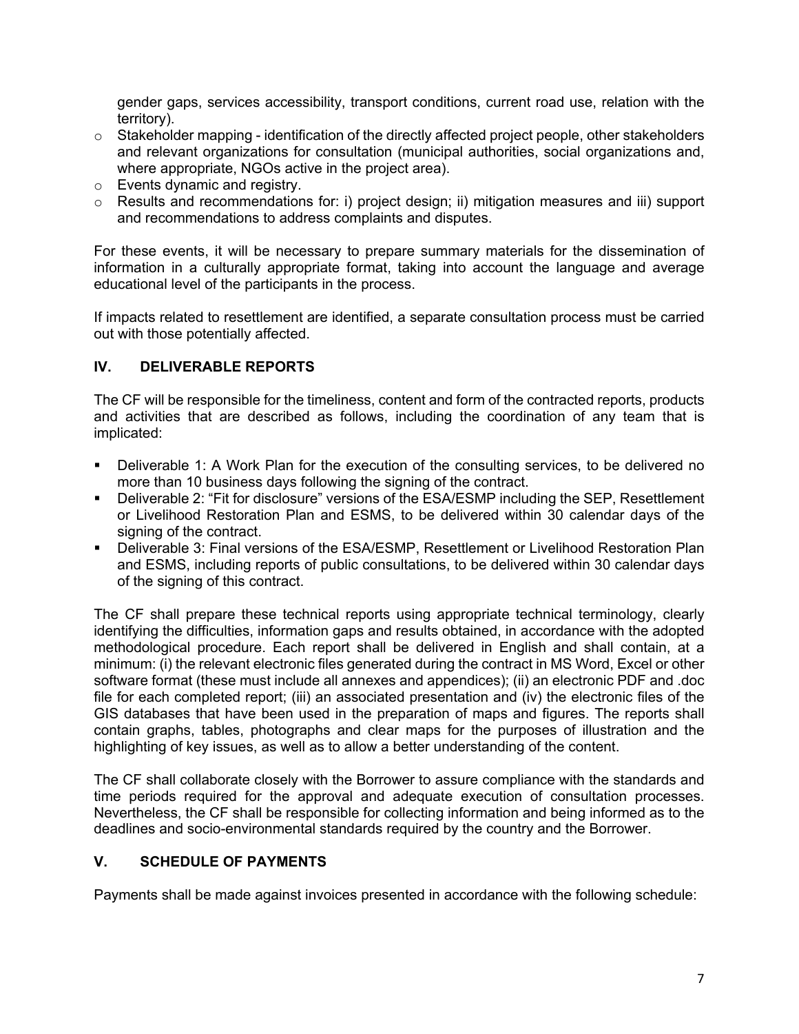gender gaps, services accessibility, transport conditions, current road use, relation with the territory).

- $\circ$  Stakeholder mapping identification of the directly affected project people, other stakeholders and relevant organizations for consultation (municipal authorities, social organizations and, where appropriate, NGOs active in the project area).
- o Events dynamic and registry.
- o Results and recommendations for: i) project design; ii) mitigation measures and iii) support and recommendations to address complaints and disputes.

For these events, it will be necessary to prepare summary materials for the dissemination of information in a culturally appropriate format, taking into account the language and average educational level of the participants in the process.

If impacts related to resettlement are identified, a separate consultation process must be carried out with those potentially affected.

# **IV. DELIVERABLE REPORTS**

The CF will be responsible for the timeliness, content and form of the contracted reports, products and activities that are described as follows, including the coordination of any team that is implicated:

- Deliverable 1: A Work Plan for the execution of the consulting services, to be delivered no more than 10 business days following the signing of the contract.
- Deliverable 2: "Fit for disclosure" versions of the ESA/ESMP including the SEP, Resettlement or Livelihood Restoration Plan and ESMS, to be delivered within 30 calendar days of the signing of the contract.
- Deliverable 3: Final versions of the ESA/ESMP, Resettlement or Livelihood Restoration Plan and ESMS, including reports of public consultations, to be delivered within 30 calendar days of the signing of this contract.

The CF shall prepare these technical reports using appropriate technical terminology, clearly identifying the difficulties, information gaps and results obtained, in accordance with the adopted methodological procedure. Each report shall be delivered in English and shall contain, at a minimum: (i) the relevant electronic files generated during the contract in MS Word, Excel or other software format (these must include all annexes and appendices); (ii) an electronic PDF and .doc file for each completed report; (iii) an associated presentation and (iv) the electronic files of the GIS databases that have been used in the preparation of maps and figures. The reports shall contain graphs, tables, photographs and clear maps for the purposes of illustration and the highlighting of key issues, as well as to allow a better understanding of the content.

The CF shall collaborate closely with the Borrower to assure compliance with the standards and time periods required for the approval and adequate execution of consultation processes. Nevertheless, the CF shall be responsible for collecting information and being informed as to the deadlines and socio-environmental standards required by the country and the Borrower.

# **V. SCHEDULE OF PAYMENTS**

Payments shall be made against invoices presented in accordance with the following schedule: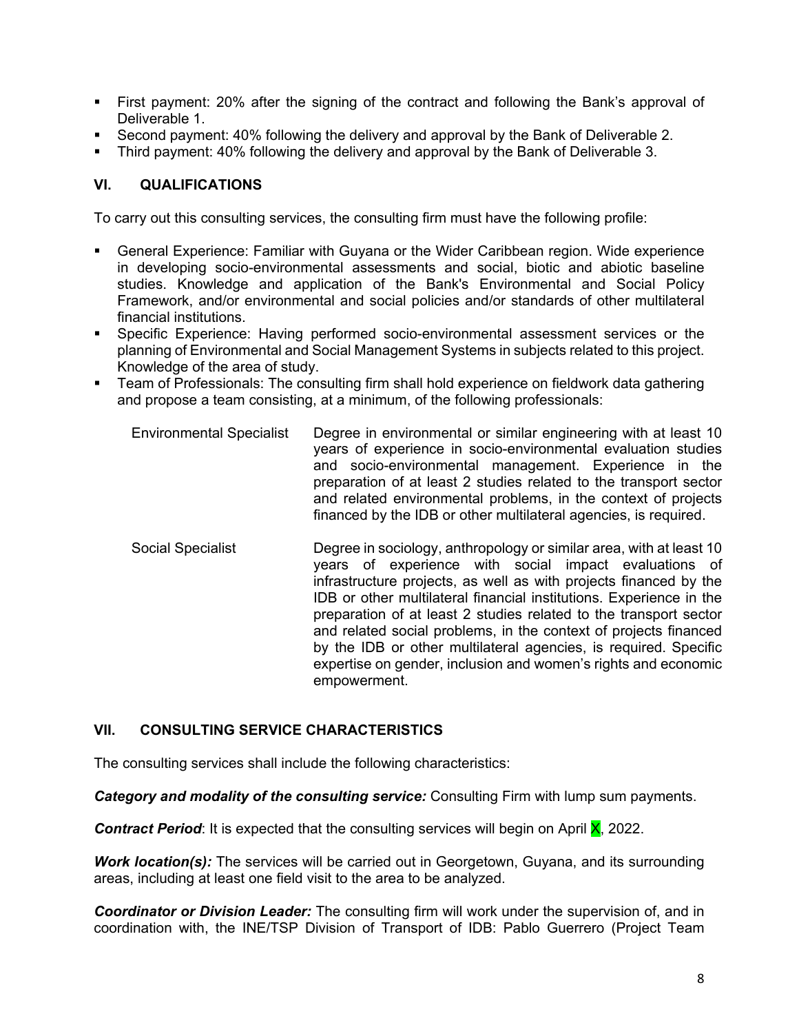- First payment: 20% after the signing of the contract and following the Bank's approval of Deliverable 1.
- Second payment: 40% following the delivery and approval by the Bank of Deliverable 2.
- Third payment: 40% following the delivery and approval by the Bank of Deliverable 3.

# **VI. QUALIFICATIONS**

To carry out this consulting services, the consulting firm must have the following profile:

- General Experience: Familiar with Guyana or the Wider Caribbean region. Wide experience in developing socio-environmental assessments and social, biotic and abiotic baseline studies. Knowledge and application of the Bank's Environmental and Social Policy Framework, and/or environmental and social policies and/or standards of other multilateral financial institutions.
- Specific Experience: Having performed socio-environmental assessment services or the planning of Environmental and Social Management Systems in subjects related to this project. Knowledge of the area of study.
- Team of Professionals: The consulting firm shall hold experience on fieldwork data gathering and propose a team consisting, at a minimum, of the following professionals:
	- Environmental Specialist Degree in environmental or similar engineering with at least 10 years of experience in socio-environmental evaluation studies and socio-environmental management. Experience in the preparation of at least 2 studies related to the transport sector and related environmental problems, in the context of projects financed by the IDB or other multilateral agencies, is required.
	- Social Specialist **Degree in sociology, anthropology or similar area, with at least 10** years of experience with social impact evaluations of infrastructure projects, as well as with projects financed by the IDB or other multilateral financial institutions. Experience in the preparation of at least 2 studies related to the transport sector and related social problems, in the context of projects financed by the IDB or other multilateral agencies, is required. Specific expertise on gender, inclusion and women's rights and economic empowerment.

# **VII. CONSULTING SERVICE CHARACTERISTICS**

The consulting services shall include the following characteristics:

*Category and modality of the consulting service:* Consulting Firm with lump sum payments.

**Contract Period:** It is expected that the consulting services will begin on April **X**, 2022.

**Work location(s):** The services will be carried out in Georgetown, Guyana, and its surrounding areas, including at least one field visit to the area to be analyzed.

*Coordinator or Division Leader:* The consulting firm will work under the supervision of, and in coordination with, the INE/TSP Division of Transport of IDB: Pablo Guerrero (Project Team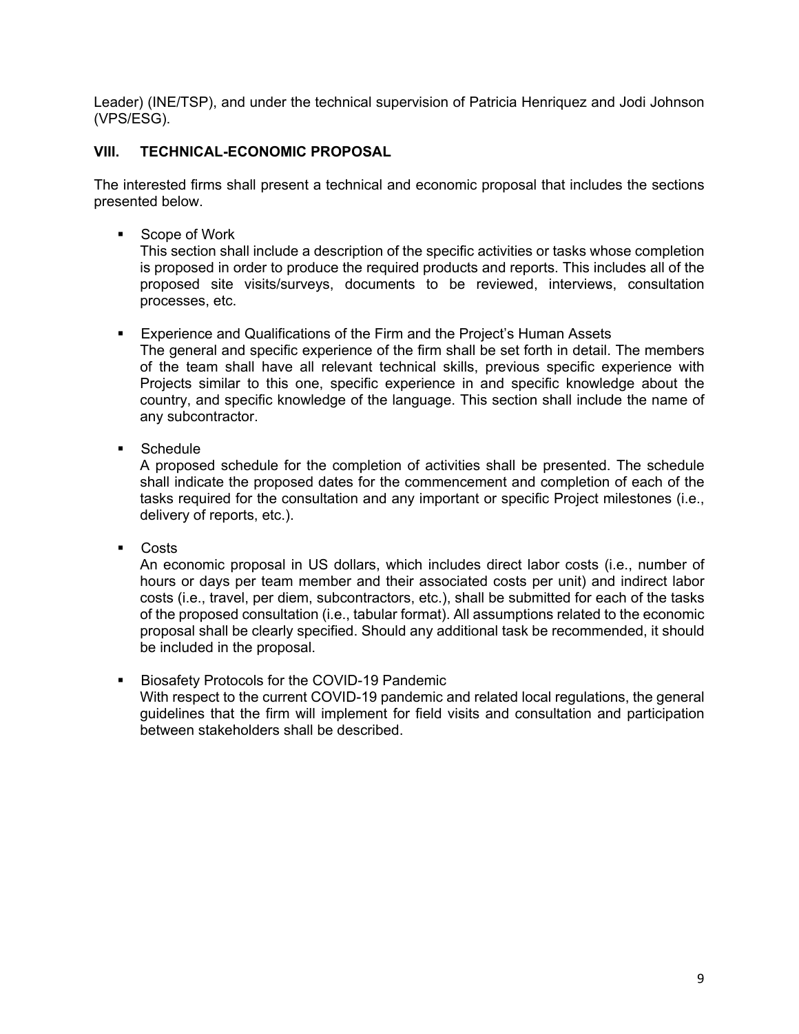Leader) (INE/TSP), and under the technical supervision of Patricia Henriquez and Jodi Johnson (VPS/ESG).

# **VIII. TECHNICAL-ECONOMIC PROPOSAL**

The interested firms shall present a technical and economic proposal that includes the sections presented below.

■ Scope of Work

This section shall include a description of the specific activities or tasks whose completion is proposed in order to produce the required products and reports. This includes all of the proposed site visits/surveys, documents to be reviewed, interviews, consultation processes, etc.

- Experience and Qualifications of the Firm and the Project's Human Assets The general and specific experience of the firm shall be set forth in detail. The members of the team shall have all relevant technical skills, previous specific experience with Projects similar to this one, specific experience in and specific knowledge about the country, and specific knowledge of the language. This section shall include the name of any subcontractor.
- **Schedule**

A proposed schedule for the completion of activities shall be presented. The schedule shall indicate the proposed dates for the commencement and completion of each of the tasks required for the consultation and any important or specific Project milestones (i.e., delivery of reports, etc.).

Costs

An economic proposal in US dollars, which includes direct labor costs (i.e., number of hours or days per team member and their associated costs per unit) and indirect labor costs (i.e., travel, per diem, subcontractors, etc.), shall be submitted for each of the tasks of the proposed consultation (i.e., tabular format). All assumptions related to the economic proposal shall be clearly specified. Should any additional task be recommended, it should be included in the proposal.

**Biosafety Protocols for the COVID-19 Pandemic** With respect to the current COVID-19 pandemic and related local regulations, the general guidelines that the firm will implement for field visits and consultation and participation between stakeholders shall be described.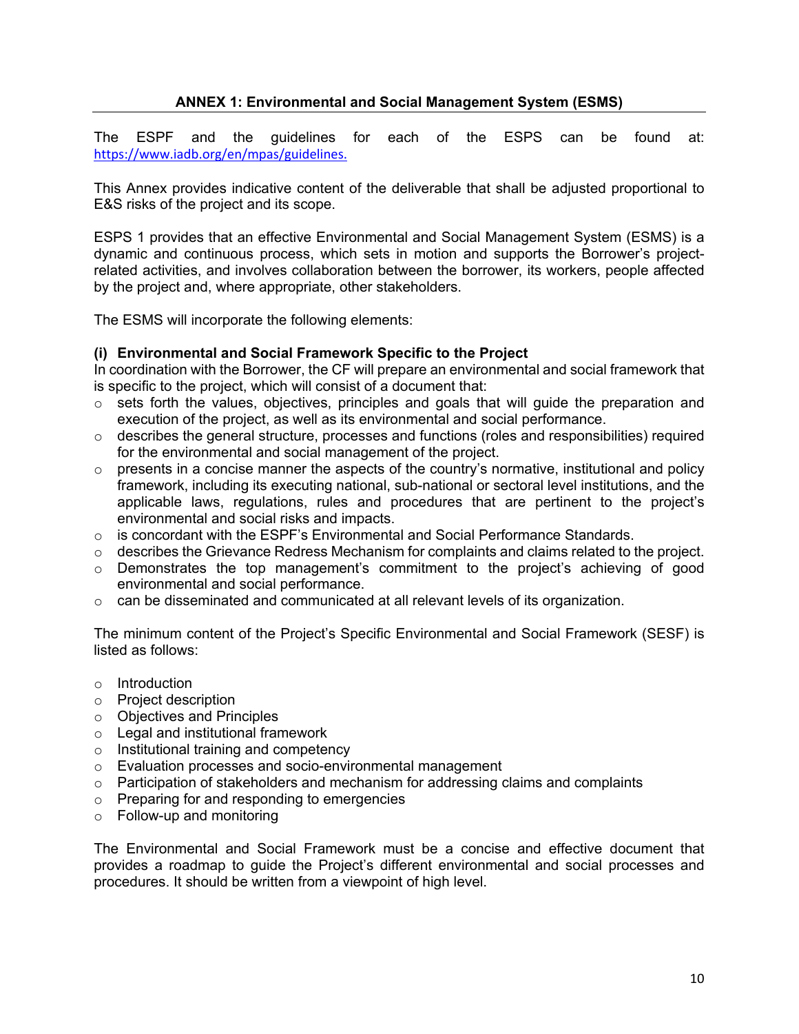# **ANNEX 1: Environmental and Social Management System (ESMS)**

The ESPF and the guidelines for each of the ESPS can be found at: <https://www.iadb.org/en/mpas/guidelines>.

This Annex provides indicative content of the deliverable that shall be adjusted proportional to E&S risks of the project and its scope.

ESPS 1 provides that an effective Environmental and Social Management System (ESMS) is a dynamic and continuous process, which sets in motion and supports the Borrower's projectrelated activities, and involves collaboration between the borrower, its workers, people affected by the project and, where appropriate, other stakeholders.

The ESMS will incorporate the following elements:

# **(i) Environmental and Social Framework Specific to the Project**

In coordination with the Borrower, the CF will prepare an environmental and social framework that is specific to the project, which will consist of a document that:

- o sets forth the values, objectives, principles and goals that will guide the preparation and execution of the project, as well as its environmental and social performance.
- $\circ$  describes the general structure, processes and functions (roles and responsibilities) required for the environmental and social management of the project.
- $\circ$  presents in a concise manner the aspects of the country's normative, institutional and policy framework, including its executing national, sub-national or sectoral level institutions, and the applicable laws, regulations, rules and procedures that are pertinent to the project's environmental and social risks and impacts.
- $\circ$  is concordant with the ESPF's Environmental and Social Performance Standards.
- $\circ$  describes the Grievance Redress Mechanism for complaints and claims related to the project.
- o Demonstrates the top management's commitment to the project's achieving of good environmental and social performance.
- $\circ$  can be disseminated and communicated at all relevant levels of its organization.

The minimum content of the Project's Specific Environmental and Social Framework (SESF) is listed as follows:

- o Introduction
- o Project description
- o Objectives and Principles
- o Legal and institutional framework
- o Institutional training and competency
- o Evaluation processes and socio-environmental management
- $\circ$  Participation of stakeholders and mechanism for addressing claims and complaints
- o Preparing for and responding to emergencies
- o Follow-up and monitoring

The Environmental and Social Framework must be a concise and effective document that provides a roadmap to guide the Project's different environmental and social processes and procedures. It should be written from a viewpoint of high level.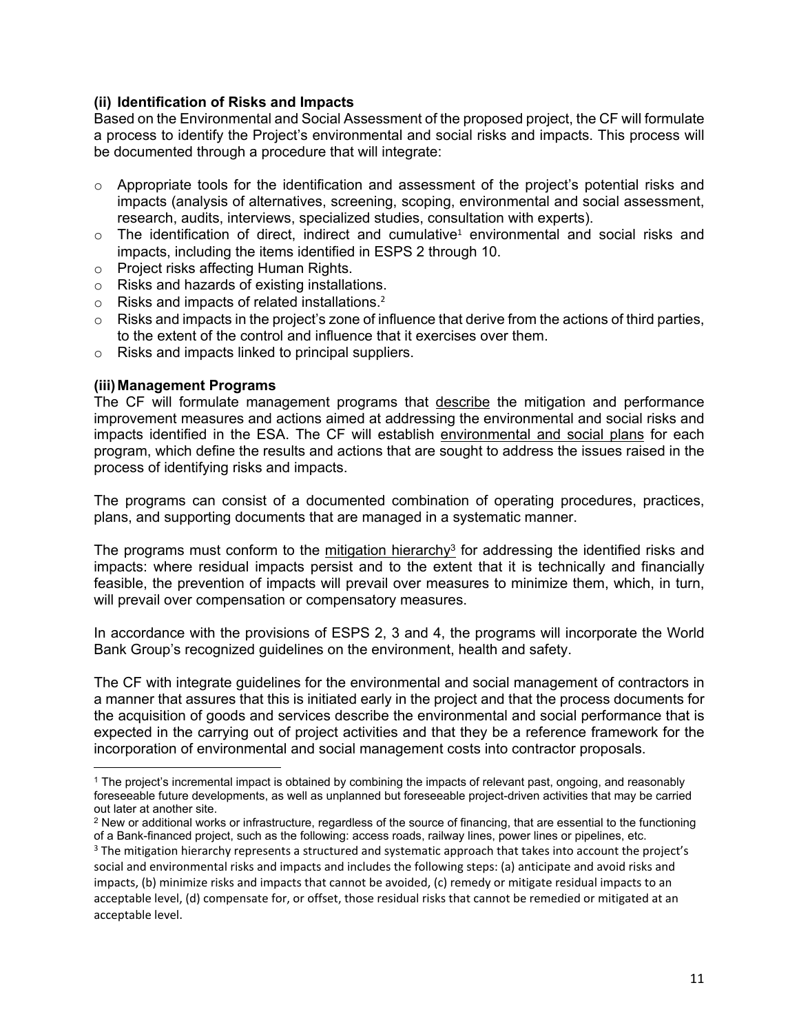# **(ii) Identification of Risks and Impacts**

Based on the Environmental and Social Assessment of the proposed project, the CF will formulate a process to identify the Project's environmental and social risks and impacts. This process will be documented through a procedure that will integrate:

- $\circ$  Appropriate tools for the identification and assessment of the project's potential risks and impacts (analysis of alternatives, screening, scoping, environmental and social assessment, research, audits, interviews, specialized studies, consultation with experts).
- $\circ$  The identification of direct, indirect and cumulative<sup>1</sup> environmental and social risks and impacts, including the items identified in ESPS 2 through 10.
- o Project risks affecting Human Rights.
- o Risks and hazards of existing installations.
- $\circ$  Risks and impacts of related installations.<sup>2</sup>
- $\circ$  Risks and impacts in the project's zone of influence that derive from the actions of third parties, to the extent of the control and influence that it exercises over them.
- o Risks and impacts linked to principal suppliers.

#### **(iii)Management Programs**

The CF will formulate management programs that describe the mitigation and performance improvement measures and actions aimed at addressing the environmental and social risks and impacts identified in the ESA. The CF will establish environmental and social plans for each program, which define the results and actions that are sought to address the issues raised in the process of identifying risks and impacts.

The programs can consist of a documented combination of operating procedures, practices, plans, and supporting documents that are managed in a systematic manner.

The programs must conform to the mitigation hierarchy<sup>3</sup> for addressing the identified risks and impacts: where residual impacts persist and to the extent that it is technically and financially feasible, the prevention of impacts will prevail over measures to minimize them, which, in turn, will prevail over compensation or compensatory measures.

In accordance with the provisions of ESPS 2, 3 and 4, the programs will incorporate the World Bank Group's recognized guidelines on the environment, health and safety.

The CF with integrate guidelines for the environmental and social management of contractors in a manner that assures that this is initiated early in the project and that the process documents for the acquisition of goods and services describe the environmental and social performance that is expected in the carrying out of project activities and that they be a reference framework for the incorporation of environmental and social management costs into contractor proposals.

 $^2$  New or additional works or infrastructure, regardless of the source of financing, that are essential to the functioning of a Bank-financed project, such as the following: access roads, railway lines, power lines or pipelines, etc.

<sup>1</sup> The project's incremental impact is obtained by combining the impacts of relevant past, ongoing, and reasonably foreseeable future developments, as well as unplanned but foreseeable project-driven activities that may be carried out later at another site.

<sup>&</sup>lt;sup>3</sup> The mitigation hierarchy represents a structured and systematic approach that takes into account the project's social and environmental risks and impacts and includes the following steps: (a) anticipate and avoid risks and impacts, (b) minimize risks and impacts that cannot be avoided, (c) remedy or mitigate residual impacts to an acceptable level, (d) compensate for, or offset, those residual risks that cannot be remedied or mitigated at an acceptable level.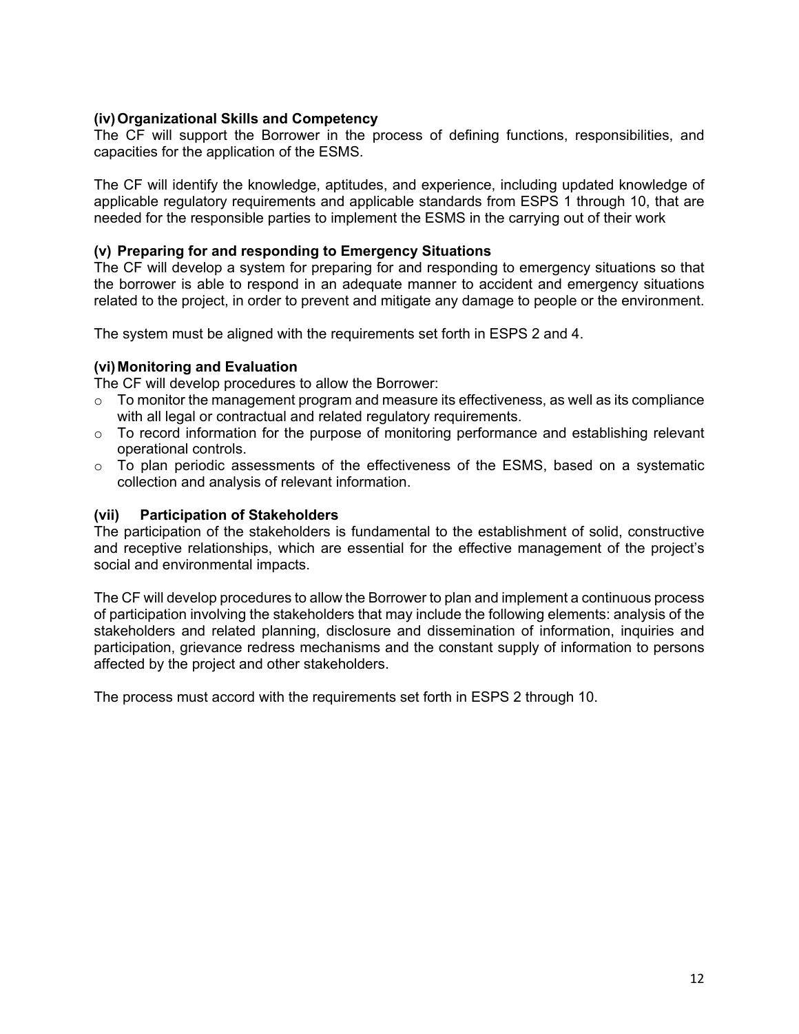# **(iv)Organizational Skills and Competency**

The CF will support the Borrower in the process of defining functions, responsibilities, and capacities for the application of the ESMS.

The CF will identify the knowledge, aptitudes, and experience, including updated knowledge of applicable regulatory requirements and applicable standards from ESPS 1 through 10, that are needed for the responsible parties to implement the ESMS in the carrying out of their work

#### **(v) Preparing for and responding to Emergency Situations**

The CF will develop a system for preparing for and responding to emergency situations so that the borrower is able to respond in an adequate manner to accident and emergency situations related to the project, in order to prevent and mitigate any damage to people or the environment.

The system must be aligned with the requirements set forth in ESPS 2 and 4.

#### **(vi)Monitoring and Evaluation**

The CF will develop procedures to allow the Borrower:

- $\circ$  To monitor the management program and measure its effectiveness, as well as its compliance with all legal or contractual and related regulatory requirements.
- o To record information for the purpose of monitoring performance and establishing relevant operational controls.
- $\circ$  To plan periodic assessments of the effectiveness of the ESMS, based on a systematic collection and analysis of relevant information.

#### **(vii) Participation of Stakeholders**

The participation of the stakeholders is fundamental to the establishment of solid, constructive and receptive relationships, which are essential for the effective management of the project's social and environmental impacts.

The CF will develop procedures to allow the Borrower to plan and implement a continuous process of participation involving the stakeholders that may include the following elements: analysis of the stakeholders and related planning, disclosure and dissemination of information, inquiries and participation, grievance redress mechanisms and the constant supply of information to persons affected by the project and other stakeholders.

The process must accord with the requirements set forth in ESPS 2 through 10.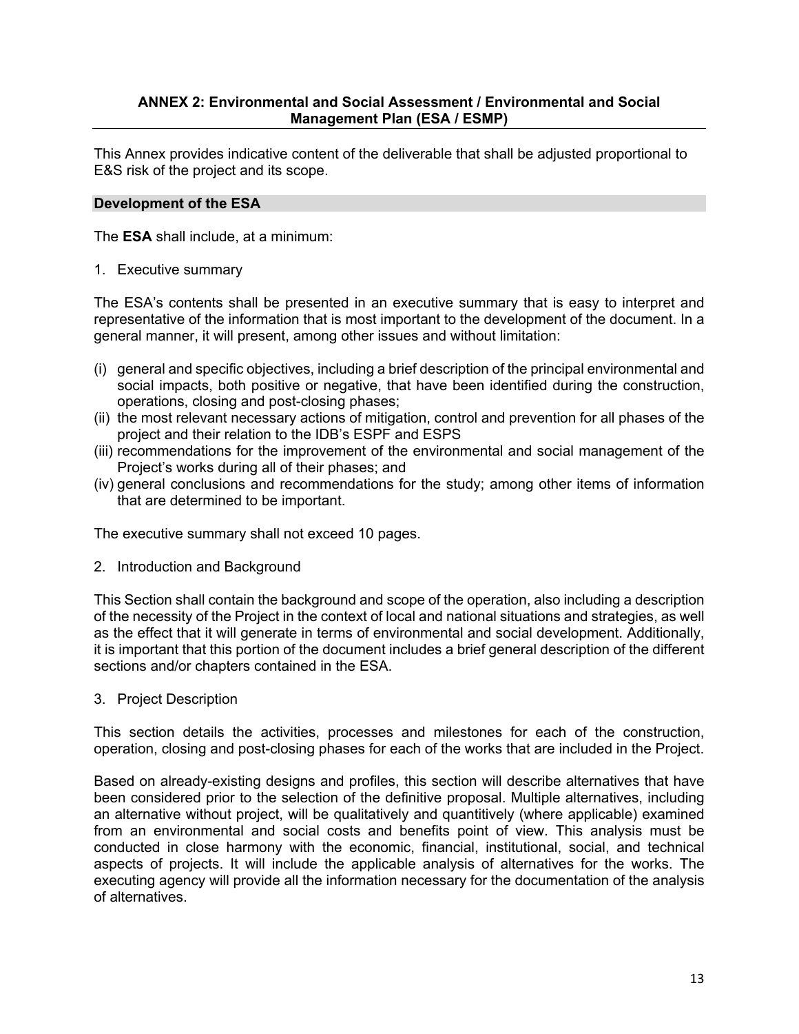# **ANNEX 2: Environmental and Social Assessment / Environmental and Social Management Plan (ESA / ESMP)**

This Annex provides indicative content of the deliverable that shall be adjusted proportional to E&S risk of the project and its scope.

#### **Development of the ESA**

The **ESA** shall include, at a minimum:

1. Executive summary

The ESA's contents shall be presented in an executive summary that is easy to interpret and representative of the information that is most important to the development of the document. In a general manner, it will present, among other issues and without limitation:

- (i) general and specific objectives, including a brief description of the principal environmental and social impacts, both positive or negative, that have been identified during the construction, operations, closing and post-closing phases;
- (ii) the most relevant necessary actions of mitigation, control and prevention for all phases of the project and their relation to the IDB's ESPF and ESPS
- (iii) recommendations for the improvement of the environmental and social management of the Project's works during all of their phases; and
- (iv) general conclusions and recommendations for the study; among other items of information that are determined to be important.

The executive summary shall not exceed 10 pages.

2. Introduction and Background

This Section shall contain the background and scope of the operation, also including a description of the necessity of the Project in the context of local and national situations and strategies, as well as the effect that it will generate in terms of environmental and social development. Additionally, it is important that this portion of the document includes a brief general description of the different sections and/or chapters contained in the ESA.

3. Project Description

This section details the activities, processes and milestones for each of the construction, operation, closing and post-closing phases for each of the works that are included in the Project.

Based on already-existing designs and profiles, this section will describe alternatives that have been considered prior to the selection of the definitive proposal. Multiple alternatives, including an alternative without project, will be qualitatively and quantitively (where applicable) examined from an environmental and social costs and benefits point of view. This analysis must be conducted in close harmony with the economic, financial, institutional, social, and technical aspects of projects. It will include the applicable analysis of alternatives for the works. The executing agency will provide all the information necessary for the documentation of the analysis of alternatives.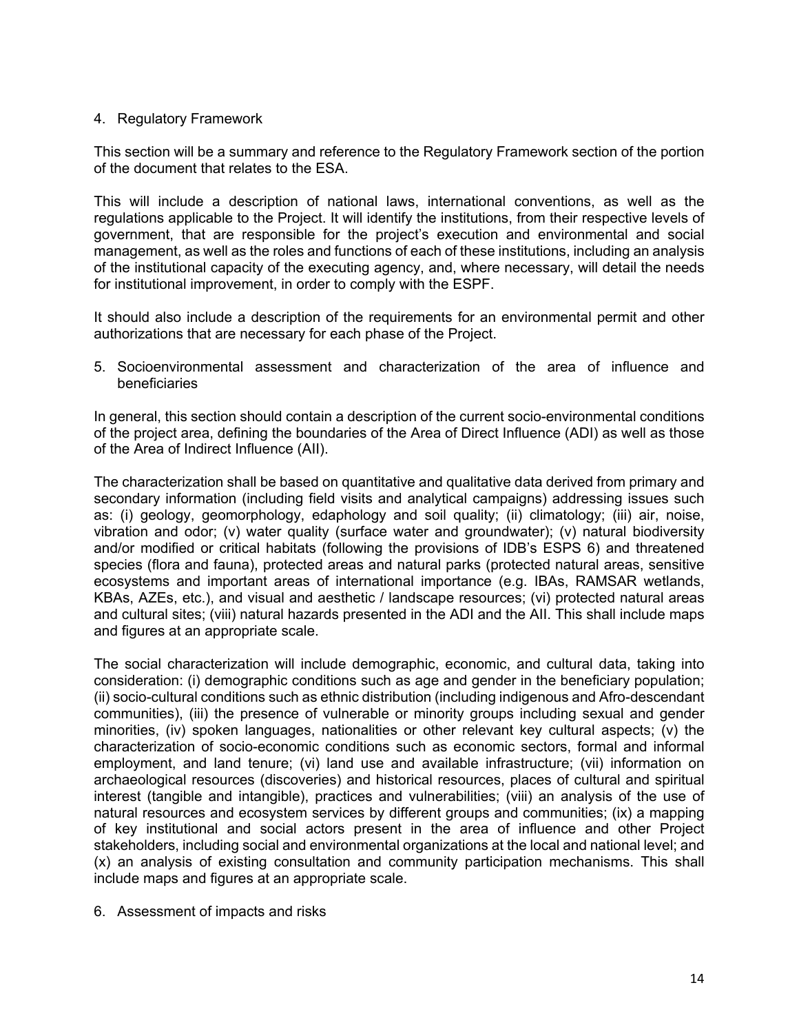#### 4. Regulatory Framework

This section will be a summary and reference to the Regulatory Framework section of the portion of the document that relates to the ESA.

This will include a description of national laws, international conventions, as well as the regulations applicable to the Project. It will identify the institutions, from their respective levels of government, that are responsible for the project's execution and environmental and social management, as well as the roles and functions of each of these institutions, including an analysis of the institutional capacity of the executing agency, and, where necessary, will detail the needs for institutional improvement, in order to comply with the ESPF.

It should also include a description of the requirements for an environmental permit and other authorizations that are necessary for each phase of the Project.

5. Socioenvironmental assessment and characterization of the area of influence and beneficiaries

In general, this section should contain a description of the current socio-environmental conditions of the project area, defining the boundaries of the Area of Direct Influence (ADI) as well as those of the Area of Indirect Influence (AII).

The characterization shall be based on quantitative and qualitative data derived from primary and secondary information (including field visits and analytical campaigns) addressing issues such as: (i) geology, geomorphology, edaphology and soil quality; (ii) climatology; (iii) air, noise, vibration and odor; (v) water quality (surface water and groundwater); (v) natural biodiversity and/or modified or critical habitats (following the provisions of IDB's ESPS 6) and threatened species (flora and fauna), protected areas and natural parks (protected natural areas, sensitive ecosystems and important areas of international importance (e.g. IBAs, RAMSAR wetlands, KBAs, AZEs, etc.), and visual and aesthetic / landscape resources; (vi) protected natural areas and cultural sites; (viii) natural hazards presented in the ADI and the AII. This shall include maps and figures at an appropriate scale.

The social characterization will include demographic, economic, and cultural data, taking into consideration: (i) demographic conditions such as age and gender in the beneficiary population; (ii) socio-cultural conditions such as ethnic distribution (including indigenous and Afro-descendant communities), (iii) the presence of vulnerable or minority groups including sexual and gender minorities, (iv) spoken languages, nationalities or other relevant key cultural aspects; (v) the characterization of socio-economic conditions such as economic sectors, formal and informal employment, and land tenure; (vi) land use and available infrastructure; (vii) information on archaeological resources (discoveries) and historical resources, places of cultural and spiritual interest (tangible and intangible), practices and vulnerabilities; (viii) an analysis of the use of natural resources and ecosystem services by different groups and communities; (ix) a mapping of key institutional and social actors present in the area of influence and other Project stakeholders, including social and environmental organizations at the local and national level; and (x) an analysis of existing consultation and community participation mechanisms. This shall include maps and figures at an appropriate scale.

6. Assessment of impacts and risks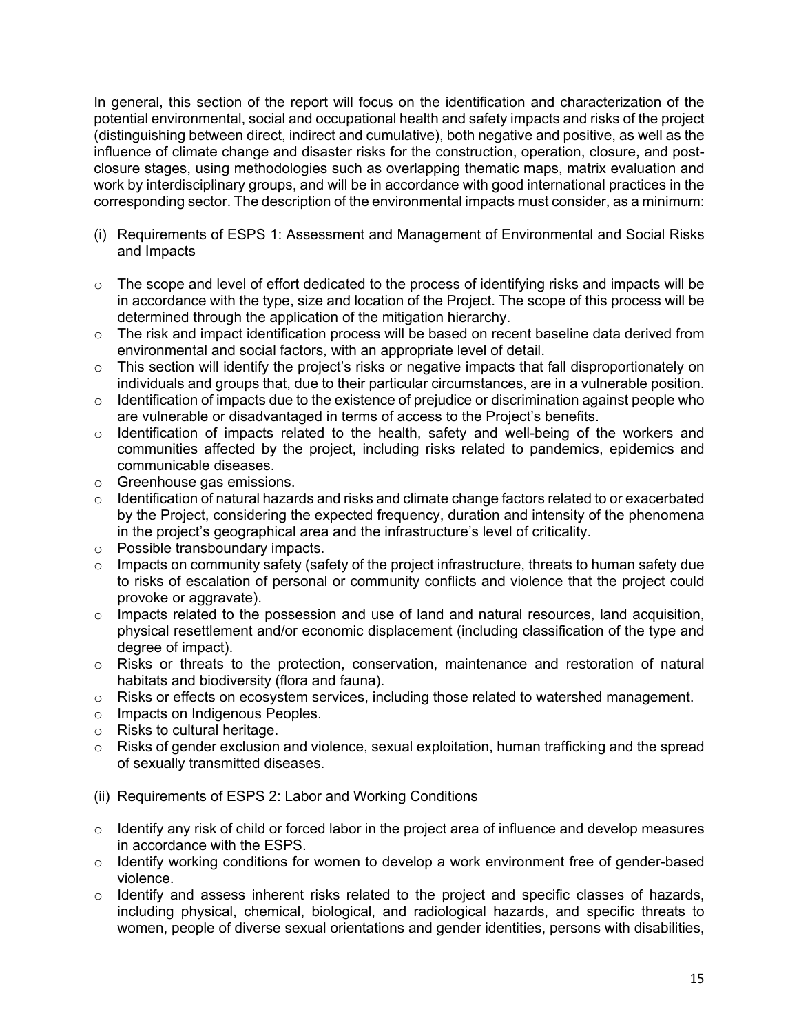In general, this section of the report will focus on the identification and characterization of the potential environmental, social and occupational health and safety impacts and risks of the project (distinguishing between direct, indirect and cumulative), both negative and positive, as well as the influence of climate change and disaster risks for the construction, operation, closure, and postclosure stages, using methodologies such as overlapping thematic maps, matrix evaluation and work by interdisciplinary groups, and will be in accordance with good international practices in the corresponding sector. The description of the environmental impacts must consider, as a minimum:

- (i) Requirements of ESPS 1: Assessment and Management of Environmental and Social Risks and Impacts
- $\circ$  The scope and level of effort dedicated to the process of identifying risks and impacts will be in accordance with the type, size and location of the Project. The scope of this process will be determined through the application of the mitigation hierarchy.
- $\circ$  The risk and impact identification process will be based on recent baseline data derived from environmental and social factors, with an appropriate level of detail.
- o This section will identify the project's risks or negative impacts that fall disproportionately on individuals and groups that, due to their particular circumstances, are in a vulnerable position.
- $\circ$  Identification of impacts due to the existence of prejudice or discrimination against people who are vulnerable or disadvantaged in terms of access to the Project's benefits.
- o Identification of impacts related to the health, safety and well-being of the workers and communities affected by the project, including risks related to pandemics, epidemics and communicable diseases.
- o Greenhouse gas emissions.
- $\circ$  Identification of natural hazards and risks and climate change factors related to or exacerbated by the Project, considering the expected frequency, duration and intensity of the phenomena in the project's geographical area and the infrastructure's level of criticality.
- o Possible transboundary impacts.
- $\circ$  Impacts on community safety (safety of the project infrastructure, threats to human safety due to risks of escalation of personal or community conflicts and violence that the project could provoke or aggravate).
- o Impacts related to the possession and use of land and natural resources, land acquisition, physical resettlement and/or economic displacement (including classification of the type and degree of impact).
- $\circ$  Risks or threats to the protection, conservation, maintenance and restoration of natural habitats and biodiversity (flora and fauna).
- o Risks or effects on ecosystem services, including those related to watershed management.
- o Impacts on Indigenous Peoples.
- o Risks to cultural heritage.
- o Risks of gender exclusion and violence, sexual exploitation, human trafficking and the spread of sexually transmitted diseases.
- (ii) Requirements of ESPS 2: Labor and Working Conditions
- $\circ$  Identify any risk of child or forced labor in the project area of influence and develop measures in accordance with the ESPS.
- o Identify working conditions for women to develop a work environment free of gender-based violence.
- $\circ$  Identify and assess inherent risks related to the project and specific classes of hazards, including physical, chemical, biological, and radiological hazards, and specific threats to women, people of diverse sexual orientations and gender identities, persons with disabilities,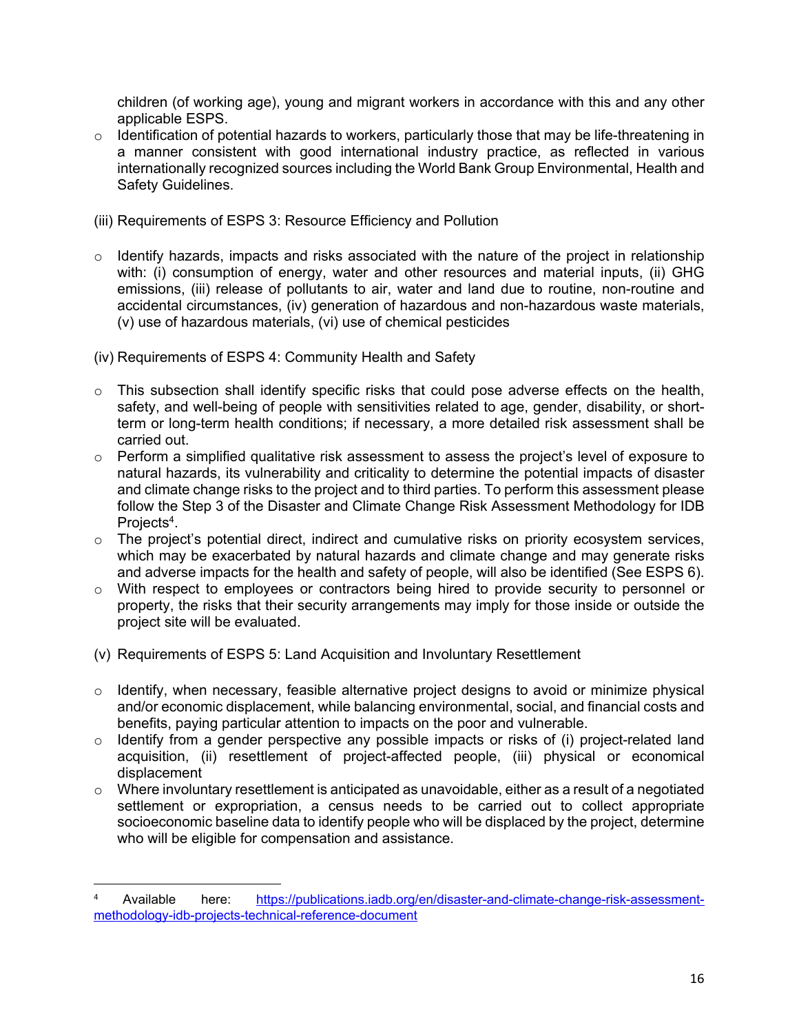children (of working age), young and migrant workers in accordance with this and any other applicable ESPS.

- o Identification of potential hazards to workers, particularly those that may be life-threatening in a manner consistent with good international industry practice, as reflected in various internationally recognized sources including the World Bank Group Environmental, Health and Safety Guidelines.
- (iii) Requirements of ESPS 3: Resource Efficiency and Pollution
- $\circ$  Identify hazards, impacts and risks associated with the nature of the project in relationship with: (i) consumption of energy, water and other resources and material inputs, (ii) GHG emissions, (iii) release of pollutants to air, water and land due to routine, non-routine and accidental circumstances, (iv) generation of hazardous and non-hazardous waste materials, (v) use of hazardous materials, (vi) use of chemical pesticides
- (iv) Requirements of ESPS 4: Community Health and Safety
- $\circ$  This subsection shall identify specific risks that could pose adverse effects on the health, safety, and well-being of people with sensitivities related to age, gender, disability, or shortterm or long-term health conditions; if necessary, a more detailed risk assessment shall be carried out.
- $\circ$  Perform a simplified qualitative risk assessment to assess the project's level of exposure to natural hazards, its vulnerability and criticality to determine the potential impacts of disaster and climate change risks to the project and to third parties. To perform this assessment please follow the Step 3 of the Disaster and Climate Change Risk Assessment Methodology for IDB Projects<sup>4</sup>.
- o The project's potential direct, indirect and cumulative risks on priority ecosystem services, which may be exacerbated by natural hazards and climate change and may generate risks and adverse impacts for the health and safety of people, will also be identified (See ESPS 6).
- o With respect to employees or contractors being hired to provide security to personnel or property, the risks that their security arrangements may imply for those inside or outside the project site will be evaluated.
- (v) Requirements of ESPS 5: Land Acquisition and Involuntary Resettlement
- $\circ$  Identify, when necessary, feasible alternative project designs to avoid or minimize physical and/or economic displacement, while balancing environmental, social, and financial costs and benefits, paying particular attention to impacts on the poor and vulnerable.
- o Identify from a gender perspective any possible impacts or risks of (i) project-related land acquisition, (ii) resettlement of project-affected people, (iii) physical or economical displacement
- $\circ$  Where involuntary resettlement is anticipated as unavoidable, either as a result of a negotiated settlement or expropriation, a census needs to be carried out to collect appropriate socioeconomic baseline data to identify people who will be displaced by the project, determine who will be eligible for compensation and assistance.

<sup>4</sup> Available here: [https://publications.iadb.org/en/disaster-and-climate-change-risk-assessment](https://publications.iadb.org/en/disaster-and-climate-change-risk-assessment-methodology-idb-projects-technical-reference-document)[methodology-idb-projects-technical-reference-document](https://publications.iadb.org/en/disaster-and-climate-change-risk-assessment-methodology-idb-projects-technical-reference-document)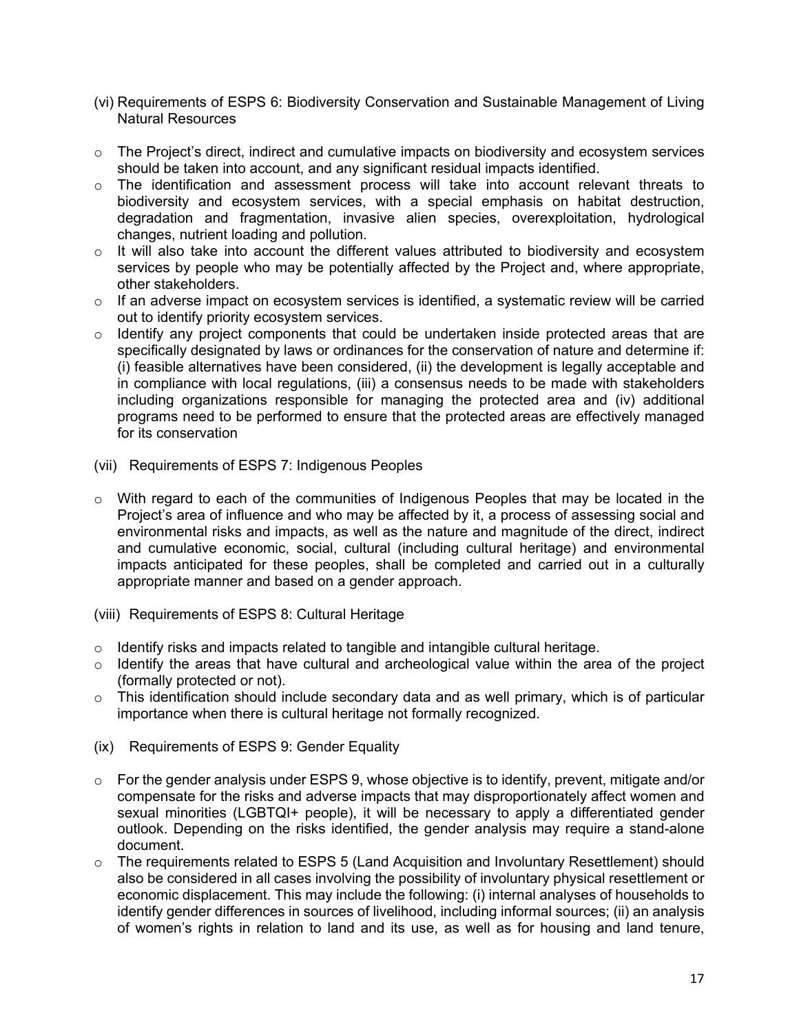- (vi) Requirements of ESPS 6: Biodiversity Conservation and Sustainable Management of Living Natural Resources
- $\circ$  The Project's direct, indirect and cumulative impacts on biodiversity and ecosystem services should be taken into account, and any significant residual impacts identified.
- o The identification and assessment process will take into account relevant threats to biodiversity and ecosystem services, with a special emphasis on habitat destruction, degradation and fragmentation, invasive alien species, overexploitation, hydrological changes, nutrient loading and pollution.
- $\circ$  It will also take into account the different values attributed to biodiversity and ecosystem services by people who may be potentially affected by the Project and, where appropriate, other stakeholders.
- o If an adverse impact on ecosystem services is identified, a systematic review will be carried out to identify priority ecosystem services.
- o Identify any project components that could be undertaken inside protected areas that are specifically designated by laws or ordinances for the conservation of nature and determine if: (i) feasible alternatives have been considered, (ii) the development is legally acceptable and in compliance with local regulations, (iii) a consensus needs to be made with stakeholders including organizations responsible for managing the protected area and (iv) additional programs need to be performed to ensure that the protected areas are effectively managed for its conservation
- (vii) Requirements of ESPS 7: Indigenous Peoples
- $\circ$  With regard to each of the communities of Indigenous Peoples that may be located in the Project's area of influence and who may be affected by it, a process of assessing social and environmental risks and impacts, as well as the nature and magnitude of the direct, indirect and cumulative economic, social, cultural (including cultural heritage) and environmental impacts anticipated for these peoples, shall be completed and carried out in a culturally appropriate manner and based on a gender approach.
- (viii) Requirements of ESPS 8: Cultural Heritage
- $\circ$  Identify risks and impacts related to tangible and intangible cultural heritage.
- o Identify the areas that have cultural and archeological value within the area of the project (formally protected or not).
- o This identification should include secondary data and as well primary, which is of particular importance when there is cultural heritage not formally recognized.
- (ix) Requirements of ESPS 9: Gender Equality
- $\circ$  For the gender analysis under ESPS 9, whose objective is to identify, prevent, mitigate and/or compensate for the risks and adverse impacts that may disproportionately affect women and sexual minorities (LGBTQI+ people), it will be necessary to apply a differentiated gender outlook. Depending on the risks identified, the gender analysis may require a stand-alone document.
- o The requirements related to ESPS 5 (Land Acquisition and Involuntary Resettlement) should also be considered in all cases involving the possibility of involuntary physical resettlement or economic displacement. This may include the following: (i) internal analyses of households to identify gender differences in sources of livelihood, including informal sources; (ii) an analysis of women's rights in relation to land and its use, as well as for housing and land tenure,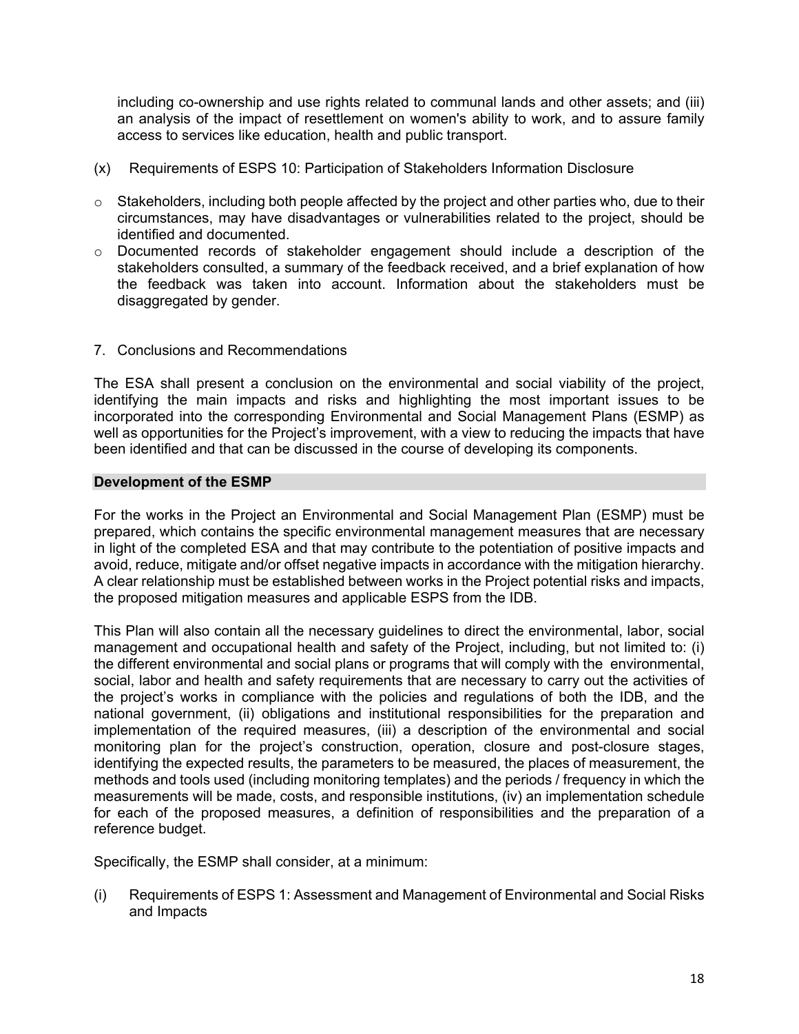including co-ownership and use rights related to communal lands and other assets; and (iii) an analysis of the impact of resettlement on women's ability to work, and to assure family access to services like education, health and public transport.

- (x) Requirements of ESPS 10: Participation of Stakeholders Information Disclosure
- o Stakeholders, including both people affected by the project and other parties who, due to their circumstances, may have disadvantages or vulnerabilities related to the project, should be identified and documented.
- o Documented records of stakeholder engagement should include a description of the stakeholders consulted, a summary of the feedback received, and a brief explanation of how the feedback was taken into account. Information about the stakeholders must be disaggregated by gender.
- 7. Conclusions and Recommendations

The ESA shall present a conclusion on the environmental and social viability of the project, identifying the main impacts and risks and highlighting the most important issues to be incorporated into the corresponding Environmental and Social Management Plans (ESMP) as well as opportunities for the Project's improvement, with a view to reducing the impacts that have been identified and that can be discussed in the course of developing its components.

#### **Development of the ESMP**

For the works in the Project an Environmental and Social Management Plan (ESMP) must be prepared, which contains the specific environmental management measures that are necessary in light of the completed ESA and that may contribute to the potentiation of positive impacts and avoid, reduce, mitigate and/or offset negative impacts in accordance with the mitigation hierarchy. A clear relationship must be established between works in the Project potential risks and impacts, the proposed mitigation measures and applicable ESPS from the IDB.

This Plan will also contain all the necessary guidelines to direct the environmental, labor, social management and occupational health and safety of the Project, including, but not limited to: (i) the different environmental and social plans or programs that will comply with the environmental, social, labor and health and safety requirements that are necessary to carry out the activities of the project's works in compliance with the policies and regulations of both the IDB, and the national government, (ii) obligations and institutional responsibilities for the preparation and implementation of the required measures, (iii) a description of the environmental and social monitoring plan for the project's construction, operation, closure and post-closure stages, identifying the expected results, the parameters to be measured, the places of measurement, the methods and tools used (including monitoring templates) and the periods / frequency in which the measurements will be made, costs, and responsible institutions, (iv) an implementation schedule for each of the proposed measures, a definition of responsibilities and the preparation of a reference budget.

Specifically, the ESMP shall consider, at a minimum:

(i) Requirements of ESPS 1: Assessment and Management of Environmental and Social Risks and Impacts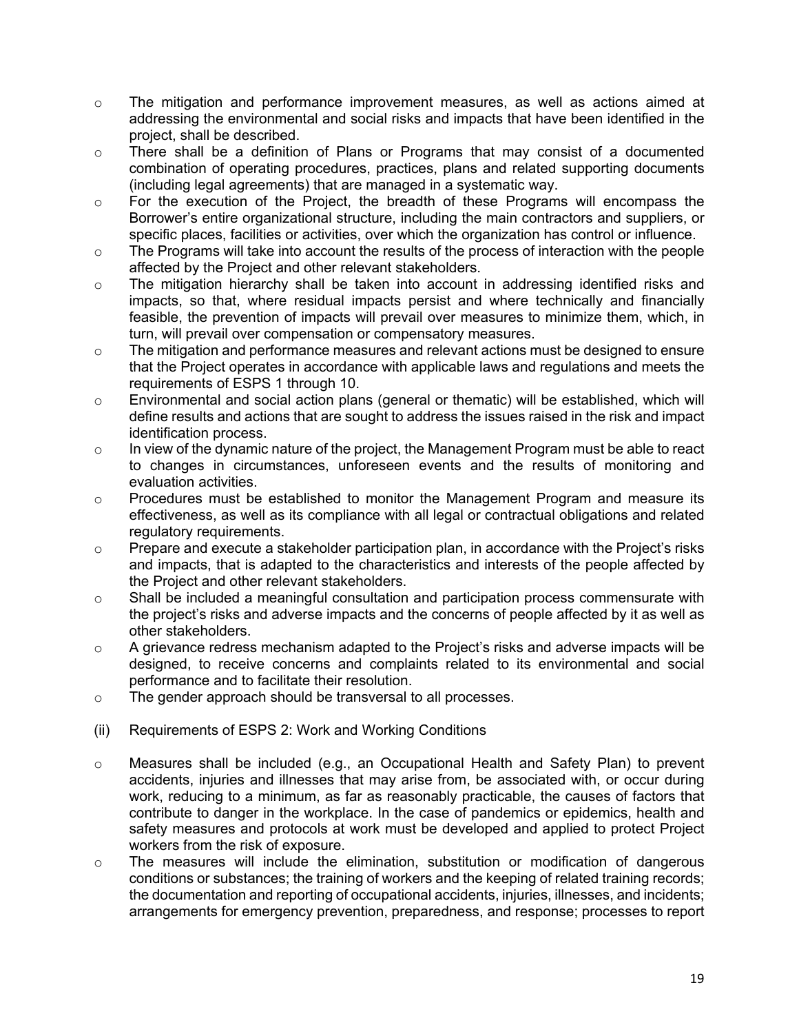- o The mitigation and performance improvement measures, as well as actions aimed at addressing the environmental and social risks and impacts that have been identified in the project, shall be described.
- $\circ$  There shall be a definition of Plans or Programs that may consist of a documented combination of operating procedures, practices, plans and related supporting documents (including legal agreements) that are managed in a systematic way.
- o For the execution of the Project, the breadth of these Programs will encompass the Borrower's entire organizational structure, including the main contractors and suppliers, or specific places, facilities or activities, over which the organization has control or influence.
- o The Programs will take into account the results of the process of interaction with the people affected by the Project and other relevant stakeholders.
- o The mitigation hierarchy shall be taken into account in addressing identified risks and impacts, so that, where residual impacts persist and where technically and financially feasible, the prevention of impacts will prevail over measures to minimize them, which, in turn, will prevail over compensation or compensatory measures.
- $\circ$  The mitigation and performance measures and relevant actions must be designed to ensure that the Project operates in accordance with applicable laws and regulations and meets the requirements of ESPS 1 through 10.
- o Environmental and social action plans (general or thematic) will be established, which will define results and actions that are sought to address the issues raised in the risk and impact identification process.
- $\circ$  In view of the dynamic nature of the project, the Management Program must be able to react to changes in circumstances, unforeseen events and the results of monitoring and evaluation activities.
- $\circ$  Procedures must be established to monitor the Management Program and measure its effectiveness, as well as its compliance with all legal or contractual obligations and related regulatory requirements.
- $\circ$  Prepare and execute a stakeholder participation plan, in accordance with the Project's risks and impacts, that is adapted to the characteristics and interests of the people affected by the Project and other relevant stakeholders.
- o Shall be included a meaningful consultation and participation process commensurate with the project's risks and adverse impacts and the concerns of people affected by it as well as other stakeholders.
- o A grievance redress mechanism adapted to the Project's risks and adverse impacts will be designed, to receive concerns and complaints related to its environmental and social performance and to facilitate their resolution.
- o The gender approach should be transversal to all processes.
- (ii) Requirements of ESPS 2: Work and Working Conditions
- $\circ$  Measures shall be included (e.g., an Occupational Health and Safety Plan) to prevent accidents, injuries and illnesses that may arise from, be associated with, or occur during work, reducing to a minimum, as far as reasonably practicable, the causes of factors that contribute to danger in the workplace. In the case of pandemics or epidemics, health and safety measures and protocols at work must be developed and applied to protect Project workers from the risk of exposure.
- o The measures will include the elimination, substitution or modification of dangerous conditions or substances; the training of workers and the keeping of related training records; the documentation and reporting of occupational accidents, injuries, illnesses, and incidents; arrangements for emergency prevention, preparedness, and response; processes to report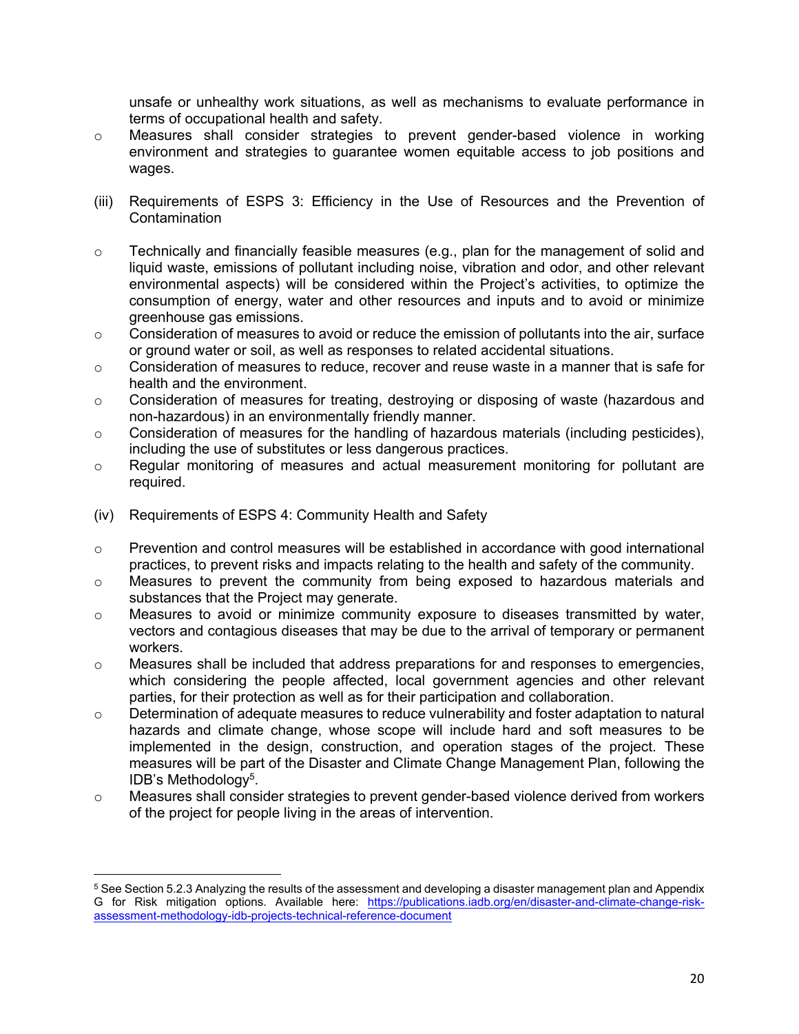unsafe or unhealthy work situations, as well as mechanisms to evaluate performance in terms of occupational health and safety.

- o Measures shall consider strategies to prevent gender-based violence in working environment and strategies to guarantee women equitable access to job positions and wages.
- (iii) Requirements of ESPS 3: Efficiency in the Use of Resources and the Prevention of Contamination
- $\circ$  Technically and financially feasible measures (e.g., plan for the management of solid and liquid waste, emissions of pollutant including noise, vibration and odor, and other relevant environmental aspects) will be considered within the Project's activities, to optimize the consumption of energy, water and other resources and inputs and to avoid or minimize greenhouse gas emissions.
- $\circ$  Consideration of measures to avoid or reduce the emission of pollutants into the air, surface or ground water or soil, as well as responses to related accidental situations.
- o Consideration of measures to reduce, recover and reuse waste in a manner that is safe for health and the environment.
- $\circ$  Consideration of measures for treating, destroying or disposing of waste (hazardous and non-hazardous) in an environmentally friendly manner.
- $\circ$  Consideration of measures for the handling of hazardous materials (including pesticides), including the use of substitutes or less dangerous practices.
- $\circ$  Regular monitoring of measures and actual measurement monitoring for pollutant are required.
- (iv) Requirements of ESPS 4: Community Health and Safety
- $\circ$  Prevention and control measures will be established in accordance with good international practices, to prevent risks and impacts relating to the health and safety of the community.
- o Measures to prevent the community from being exposed to hazardous materials and substances that the Project may generate.
- $\circ$  Measures to avoid or minimize community exposure to diseases transmitted by water, vectors and contagious diseases that may be due to the arrival of temporary or permanent workers.
- $\circ$  Measures shall be included that address preparations for and responses to emergencies, which considering the people affected, local government agencies and other relevant parties, for their protection as well as for their participation and collaboration.
- o Determination of adequate measures to reduce vulnerability and foster adaptation to natural hazards and climate change, whose scope will include hard and soft measures to be implemented in the design, construction, and operation stages of the project. These measures will be part of the Disaster and Climate Change Management Plan, following the IDB's Methodology<sup>5</sup> .
- o Measures shall consider strategies to prevent gender-based violence derived from workers of the project for people living in the areas of intervention.

 $^5$  See Section 5.2.3 Analyzing the results of the assessment and developing a disaster management plan and Appendix G for Risk mitigation options. Available here: [https://publications.iadb.org/en/disaster-and-climate-change-risk](https://publications.iadb.org/en/disaster-and-climate-change-risk-assessment-methodology-idb-projects-technical-reference-document)[assessment-methodology-idb-projects-technical-reference-document](https://publications.iadb.org/en/disaster-and-climate-change-risk-assessment-methodology-idb-projects-technical-reference-document)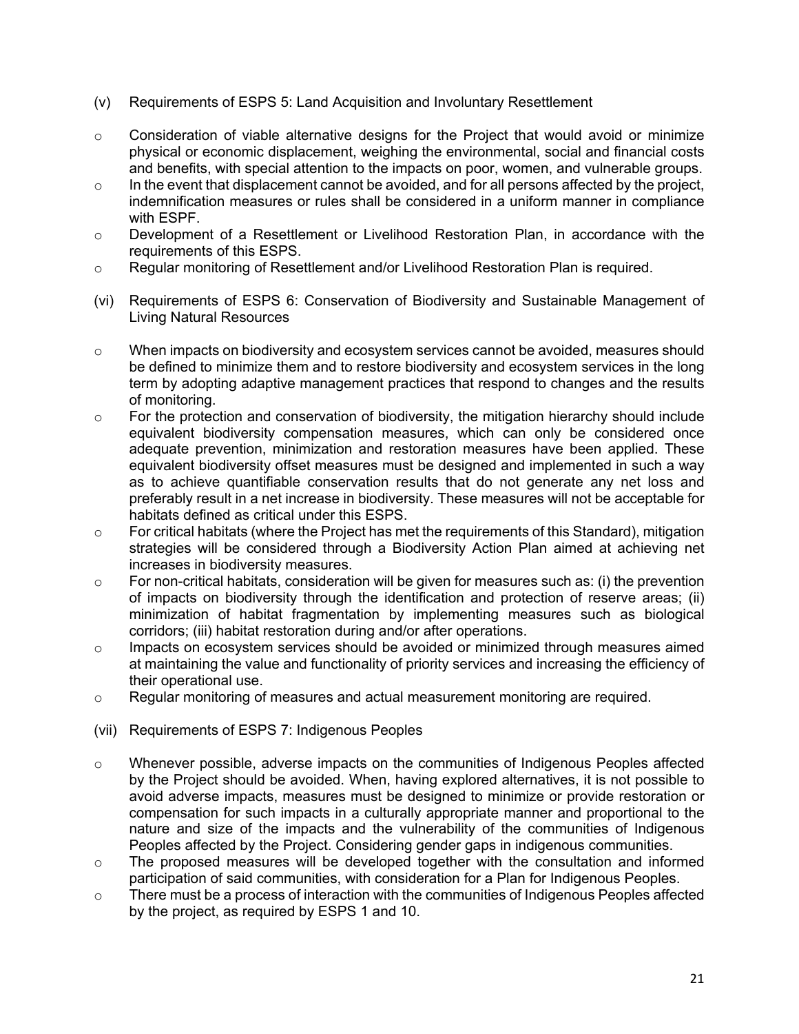- (v) Requirements of ESPS 5: Land Acquisition and Involuntary Resettlement
- o Consideration of viable alternative designs for the Project that would avoid or minimize physical or economic displacement, weighing the environmental, social and financial costs and benefits, with special attention to the impacts on poor, women, and vulnerable groups.
- $\circ$  In the event that displacement cannot be avoided, and for all persons affected by the project, indemnification measures or rules shall be considered in a uniform manner in compliance with ESPF.
- $\circ$  Development of a Resettlement or Livelihood Restoration Plan, in accordance with the requirements of this ESPS.
- o Regular monitoring of Resettlement and/or Livelihood Restoration Plan is required.
- (vi) Requirements of ESPS 6: Conservation of Biodiversity and Sustainable Management of Living Natural Resources
- o When impacts on biodiversity and ecosystem services cannot be avoided, measures should be defined to minimize them and to restore biodiversity and ecosystem services in the long term by adopting adaptive management practices that respond to changes and the results of monitoring.
- o For the protection and conservation of biodiversity, the mitigation hierarchy should include equivalent biodiversity compensation measures, which can only be considered once adequate prevention, minimization and restoration measures have been applied. These equivalent biodiversity offset measures must be designed and implemented in such a way as to achieve quantifiable conservation results that do not generate any net loss and preferably result in a net increase in biodiversity. These measures will not be acceptable for habitats defined as critical under this ESPS.
- o For critical habitats (where the Project has met the requirements of this Standard), mitigation strategies will be considered through a Biodiversity Action Plan aimed at achieving net increases in biodiversity measures.
- $\circ$  For non-critical habitats, consideration will be given for measures such as: (i) the prevention of impacts on biodiversity through the identification and protection of reserve areas; (ii) minimization of habitat fragmentation by implementing measures such as biological corridors; (iii) habitat restoration during and/or after operations.
- o Impacts on ecosystem services should be avoided or minimized through measures aimed at maintaining the value and functionality of priority services and increasing the efficiency of their operational use.
- o Regular monitoring of measures and actual measurement monitoring are required.
- (vii) Requirements of ESPS 7: Indigenous Peoples
- $\circ$  Whenever possible, adverse impacts on the communities of Indigenous Peoples affected by the Project should be avoided. When, having explored alternatives, it is not possible to avoid adverse impacts, measures must be designed to minimize or provide restoration or compensation for such impacts in a culturally appropriate manner and proportional to the nature and size of the impacts and the vulnerability of the communities of Indigenous Peoples affected by the Project. Considering gender gaps in indigenous communities.
- o The proposed measures will be developed together with the consultation and informed participation of said communities, with consideration for a Plan for Indigenous Peoples.
- $\circ$  There must be a process of interaction with the communities of Indigenous Peoples affected by the project, as required by ESPS 1 and 10.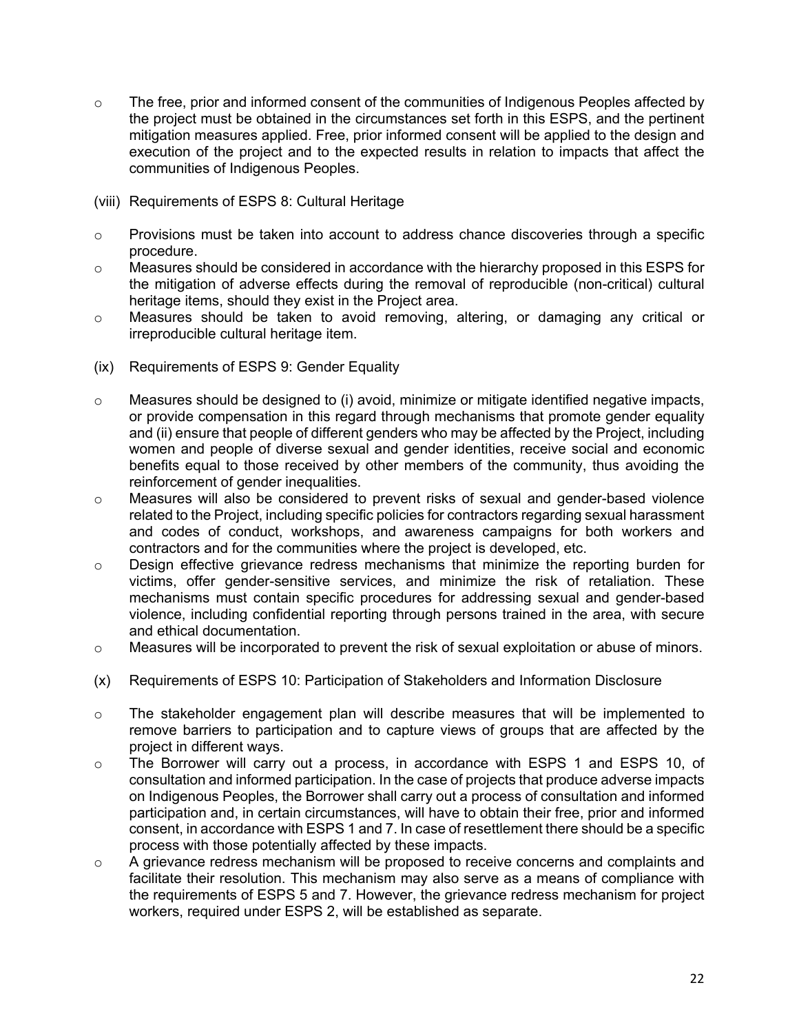- $\circ$  The free, prior and informed consent of the communities of Indigenous Peoples affected by the project must be obtained in the circumstances set forth in this ESPS, and the pertinent mitigation measures applied. Free, prior informed consent will be applied to the design and execution of the project and to the expected results in relation to impacts that affect the communities of Indigenous Peoples.
- (viii) Requirements of ESPS 8: Cultural Heritage
- $\circ$  Provisions must be taken into account to address chance discoveries through a specific procedure.
- o Measures should be considered in accordance with the hierarchy proposed in this ESPS for the mitigation of adverse effects during the removal of reproducible (non-critical) cultural heritage items, should they exist in the Project area.
- o Measures should be taken to avoid removing, altering, or damaging any critical or irreproducible cultural heritage item.
- (ix) Requirements of ESPS 9: Gender Equality
- $\circ$  Measures should be designed to (i) avoid, minimize or mitigate identified negative impacts, or provide compensation in this regard through mechanisms that promote gender equality and (ii) ensure that people of different genders who may be affected by the Project, including women and people of diverse sexual and gender identities, receive social and economic benefits equal to those received by other members of the community, thus avoiding the reinforcement of gender inequalities.
- o Measures will also be considered to prevent risks of sexual and gender-based violence related to the Project, including specific policies for contractors regarding sexual harassment and codes of conduct, workshops, and awareness campaigns for both workers and contractors and for the communities where the project is developed, etc.
- o Design effective grievance redress mechanisms that minimize the reporting burden for victims, offer gender-sensitive services, and minimize the risk of retaliation. These mechanisms must contain specific procedures for addressing sexual and gender-based violence, including confidential reporting through persons trained in the area, with secure and ethical documentation.
- o Measures will be incorporated to prevent the risk of sexual exploitation or abuse of minors.
- (x) Requirements of ESPS 10: Participation of Stakeholders and Information Disclosure
- $\circ$  The stakeholder engagement plan will describe measures that will be implemented to remove barriers to participation and to capture views of groups that are affected by the project in different ways.
- o The Borrower will carry out a process, in accordance with ESPS 1 and ESPS 10, of consultation and informed participation. In the case of projects that produce adverse impacts on Indigenous Peoples, the Borrower shall carry out a process of consultation and informed participation and, in certain circumstances, will have to obtain their free, prior and informed consent, in accordance with ESPS 1 and 7. In case of resettlement there should be a specific process with those potentially affected by these impacts.
- o A grievance redress mechanism will be proposed to receive concerns and complaints and facilitate their resolution. This mechanism may also serve as a means of compliance with the requirements of ESPS 5 and 7. However, the grievance redress mechanism for project workers, required under ESPS 2, will be established as separate.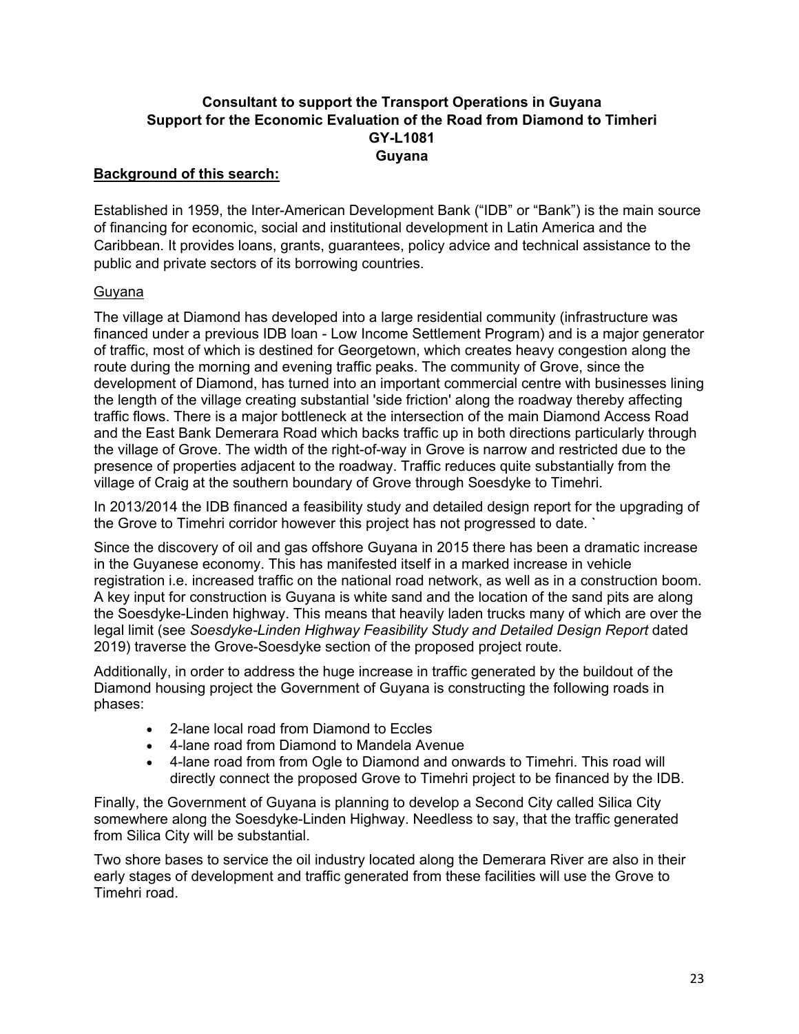# **Consultant to support the Transport Operations in Guyana Support for the Economic Evaluation of the Road from Diamond to Timheri GY-L1081 Guyana**

# **Background of this search:**

Established in 1959, the Inter-American Development Bank ("IDB" or "Bank") is the main source of financing for economic, social and institutional development in Latin America and the Caribbean. It provides loans, grants, guarantees, policy advice and technical assistance to the public and private sectors of its borrowing countries.

#### Guyana

The village at Diamond has developed into a large residential community (infrastructure was financed under a previous IDB loan - Low Income Settlement Program) and is a major generator of traffic, most of which is destined for Georgetown, which creates heavy congestion along the route during the morning and evening traffic peaks. The community of Grove, since the development of Diamond, has turned into an important commercial centre with businesses lining the length of the village creating substantial 'side friction' along the roadway thereby affecting traffic flows. There is a major bottleneck at the intersection of the main Diamond Access Road and the East Bank Demerara Road which backs traffic up in both directions particularly through the village of Grove. The width of the right-of-way in Grove is narrow and restricted due to the presence of properties adjacent to the roadway. Traffic reduces quite substantially from the village of Craig at the southern boundary of Grove through Soesdyke to Timehri.

In 2013/2014 the IDB financed a feasibility study and detailed design report for the upgrading of the Grove to Timehri corridor however this project has not progressed to date. `

Since the discovery of oil and gas offshore Guyana in 2015 there has been a dramatic increase in the Guyanese economy. This has manifested itself in a marked increase in vehicle registration i.e. increased traffic on the national road network, as well as in a construction boom. A key input for construction is Guyana is white sand and the location of the sand pits are along the Soesdyke-Linden highway. This means that heavily laden trucks many of which are over the legal limit (see *Soesdyke-Linden Highway Feasibility Study and Detailed Design Report* dated 2019) traverse the Grove-Soesdyke section of the proposed project route.

Additionally, in order to address the huge increase in traffic generated by the buildout of the Diamond housing project the Government of Guyana is constructing the following roads in phases:

- 2-lane local road from Diamond to Eccles
- 4-lane road from Diamond to Mandela Avenue
- 4-lane road from from Ogle to Diamond and onwards to Timehri. This road will directly connect the proposed Grove to Timehri project to be financed by the IDB.

Finally, the Government of Guyana is planning to develop a Second City called Silica City somewhere along the Soesdyke-Linden Highway. Needless to say, that the traffic generated from Silica City will be substantial.

Two shore bases to service the oil industry located along the Demerara River are also in their early stages of development and traffic generated from these facilities will use the Grove to Timehri road.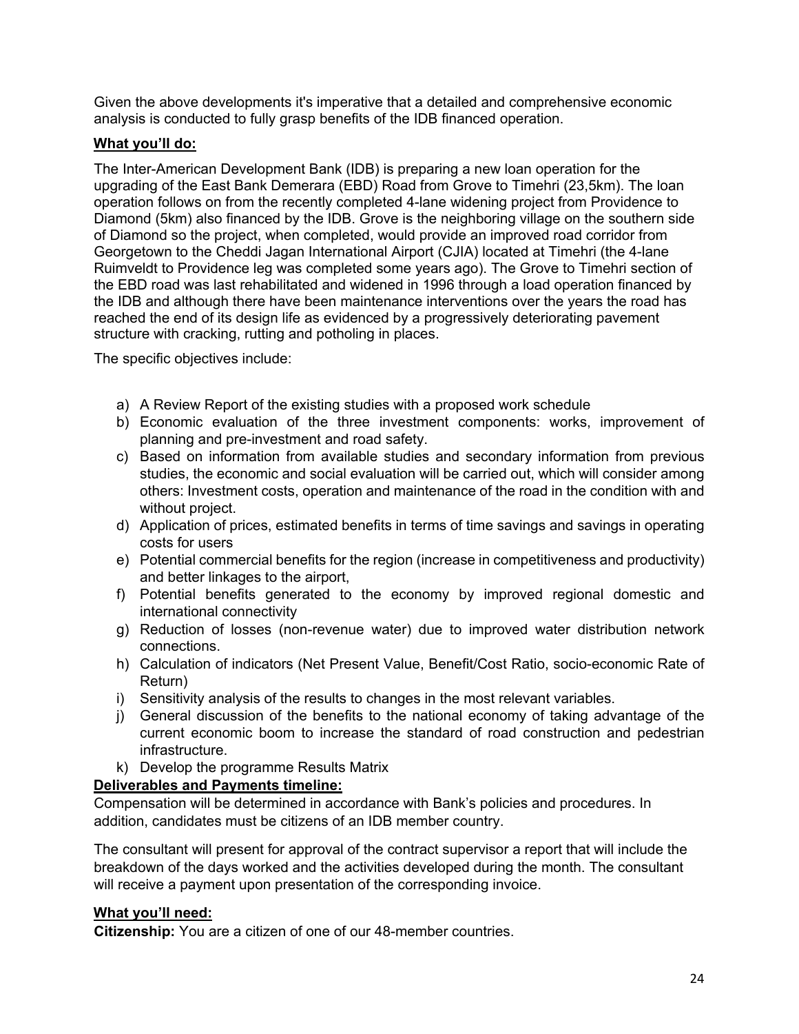Given the above developments it's imperative that a detailed and comprehensive economic analysis is conducted to fully grasp benefits of the IDB financed operation.

# **What you'll do:**

The Inter-American Development Bank (IDB) is preparing a new loan operation for the upgrading of the East Bank Demerara (EBD) Road from Grove to Timehri (23,5km). The loan operation follows on from the recently completed 4-lane widening project from Providence to Diamond (5km) also financed by the IDB. Grove is the neighboring village on the southern side of Diamond so the project, when completed, would provide an improved road corridor from Georgetown to the Cheddi Jagan International Airport (CJIA) located at Timehri (the 4-lane Ruimveldt to Providence leg was completed some years ago). The Grove to Timehri section of the EBD road was last rehabilitated and widened in 1996 through a load operation financed by the IDB and although there have been maintenance interventions over the years the road has reached the end of its design life as evidenced by a progressively deteriorating pavement structure with cracking, rutting and potholing in places.

The specific objectives include:

- a) A Review Report of the existing studies with a proposed work schedule
- b) Economic evaluation of the three investment components: works, improvement of planning and pre-investment and road safety.
- c) Based on information from available studies and secondary information from previous studies, the economic and social evaluation will be carried out, which will consider among others: Investment costs, operation and maintenance of the road in the condition with and without project.
- d) Application of prices, estimated benefits in terms of time savings and savings in operating costs for users
- e) Potential commercial benefits for the region (increase in competitiveness and productivity) and better linkages to the airport,
- f) Potential benefits generated to the economy by improved regional domestic and international connectivity
- g) Reduction of losses (non-revenue water) due to improved water distribution network connections.
- h) Calculation of indicators (Net Present Value, Benefit/Cost Ratio, socio-economic Rate of Return)
- i) Sensitivity analysis of the results to changes in the most relevant variables.
- j) General discussion of the benefits to the national economy of taking advantage of the current economic boom to increase the standard of road construction and pedestrian infrastructure.
- k) Develop the programme Results Matrix

# **Deliverables and Payments timeline:**

Compensation will be determined in accordance with Bank's policies and procedures. In addition, candidates must be citizens of an IDB member country.

The consultant will present for approval of the contract supervisor a report that will include the breakdown of the days worked and the activities developed during the month. The consultant will receive a payment upon presentation of the corresponding invoice.

# **What you'll need:**

**Citizenship:** You are a citizen of one of our 48-member countries.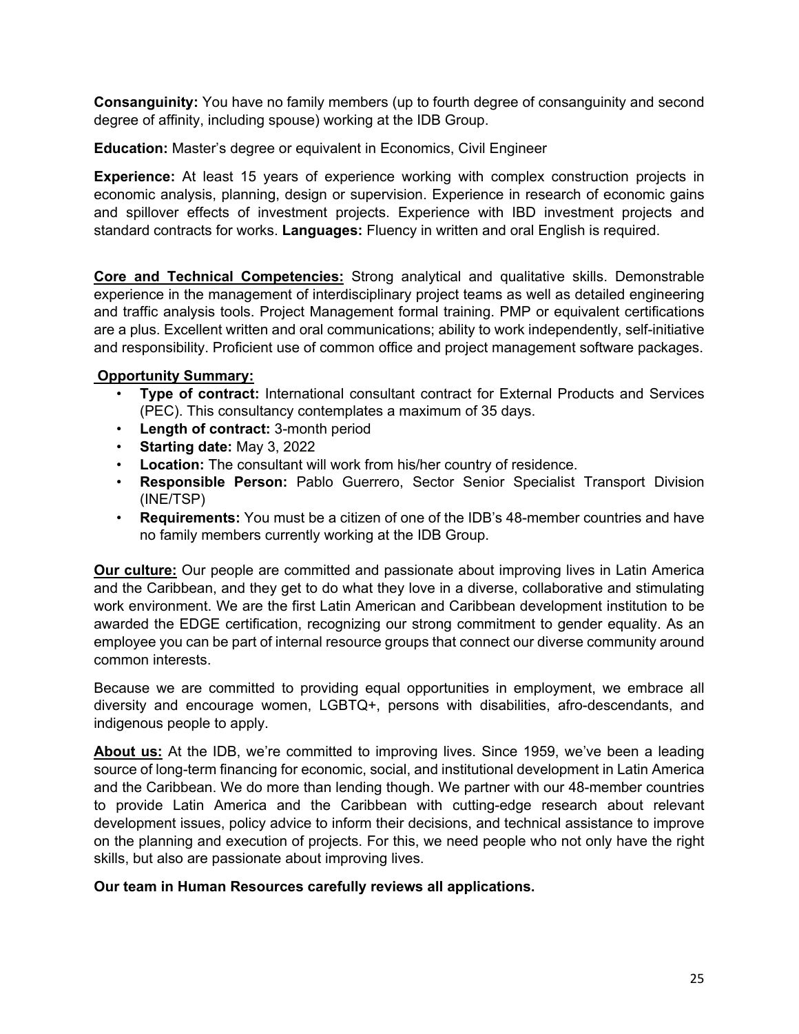**Consanguinity:** You have no family members (up to fourth degree of consanguinity and second degree of affinity, including spouse) working at the IDB Group.

**Education:** Master's degree or equivalent in Economics, Civil Engineer

**Experience:** At least 15 years of experience working with complex construction projects in economic analysis, planning, design or supervision. Experience in research of economic gains and spillover effects of investment projects. Experience with IBD investment projects and standard contracts for works. **Languages:** Fluency in written and oral English is required.

**Core and Technical Competencies:** Strong analytical and qualitative skills. Demonstrable experience in the management of interdisciplinary project teams as well as detailed engineering and traffic analysis tools. Project Management formal training. PMP or equivalent certifications are a plus. Excellent written and oral communications; ability to work independently, self-initiative and responsibility. Proficient use of common office and project management software packages.

# **Opportunity Summary:**

- **Type of contract:** International consultant contract for External Products and Services (PEC). This consultancy contemplates a maximum of 35 days.
- **Length of contract:** 3-month period
- **Starting date:** May 3, 2022
- **Location:** The consultant will work from his/her country of residence.
- **Responsible Person:** Pablo Guerrero, Sector Senior Specialist Transport Division (INE/TSP)
- **Requirements:** You must be a citizen of one of the IDB's 48-member countries and have no family members currently working at the IDB Group.

**Our culture:** Our people are committed and passionate about improving lives in Latin America and the Caribbean, and they get to do what they love in a diverse, collaborative and stimulating work environment. We are the first Latin American and Caribbean development institution to be awarded the EDGE certification, recognizing our strong commitment to gender equality. As an employee you can be part of internal resource groups that connect our diverse community around common interests.

Because we are committed to providing equal opportunities in employment, we embrace all diversity and encourage women, LGBTQ+, persons with disabilities, afro-descendants, and indigenous people to apply.

**About us:** At the IDB, we're committed to improving lives. Since 1959, we've been a leading source of long-term financing for economic, social, and institutional development in Latin America and the Caribbean. We do more than lending though. We partner with our 48-member countries to provide Latin America and the Caribbean with cutting-edge research about relevant development issues, policy advice to inform their decisions, and technical assistance to improve on the planning and execution of projects. For this, we need people who not only have the right skills, but also are passionate about improving lives.

# **Our team in Human Resources carefully reviews all applications.**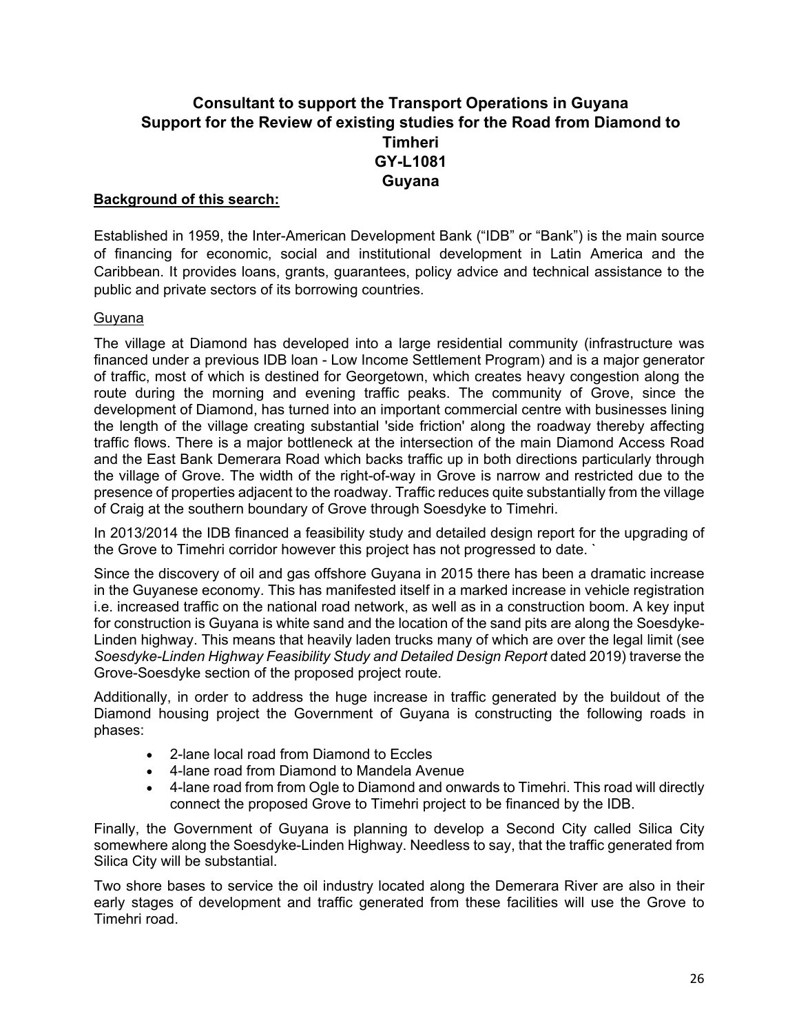# **Consultant to support the Transport Operations in Guyana Support for the Review of existing studies for the Road from Diamond to Timheri GY-L1081 Guyana**

# **Background of this search:**

Established in 1959, the Inter-American Development Bank ("IDB" or "Bank") is the main source of financing for economic, social and institutional development in Latin America and the Caribbean. It provides loans, grants, guarantees, policy advice and technical assistance to the public and private sectors of its borrowing countries.

# Guyana

The village at Diamond has developed into a large residential community (infrastructure was financed under a previous IDB loan - Low Income Settlement Program) and is a major generator of traffic, most of which is destined for Georgetown, which creates heavy congestion along the route during the morning and evening traffic peaks. The community of Grove, since the development of Diamond, has turned into an important commercial centre with businesses lining the length of the village creating substantial 'side friction' along the roadway thereby affecting traffic flows. There is a major bottleneck at the intersection of the main Diamond Access Road and the East Bank Demerara Road which backs traffic up in both directions particularly through the village of Grove. The width of the right-of-way in Grove is narrow and restricted due to the presence of properties adjacent to the roadway. Traffic reduces quite substantially from the village of Craig at the southern boundary of Grove through Soesdyke to Timehri.

In 2013/2014 the IDB financed a feasibility study and detailed design report for the upgrading of the Grove to Timehri corridor however this project has not progressed to date. `

Since the discovery of oil and gas offshore Guyana in 2015 there has been a dramatic increase in the Guyanese economy. This has manifested itself in a marked increase in vehicle registration i.e. increased traffic on the national road network, as well as in a construction boom. A key input for construction is Guyana is white sand and the location of the sand pits are along the Soesdyke-Linden highway. This means that heavily laden trucks many of which are over the legal limit (see *Soesdyke-Linden Highway Feasibility Study and Detailed Design Report* dated 2019) traverse the Grove-Soesdyke section of the proposed project route.

Additionally, in order to address the huge increase in traffic generated by the buildout of the Diamond housing project the Government of Guyana is constructing the following roads in phases:

- 2-lane local road from Diamond to Eccles
- 4-lane road from Diamond to Mandela Avenue
- 4-lane road from from Ogle to Diamond and onwards to Timehri. This road will directly connect the proposed Grove to Timehri project to be financed by the IDB.

Finally, the Government of Guyana is planning to develop a Second City called Silica City somewhere along the Soesdyke-Linden Highway. Needless to say, that the traffic generated from Silica City will be substantial.

Two shore bases to service the oil industry located along the Demerara River are also in their early stages of development and traffic generated from these facilities will use the Grove to Timehri road.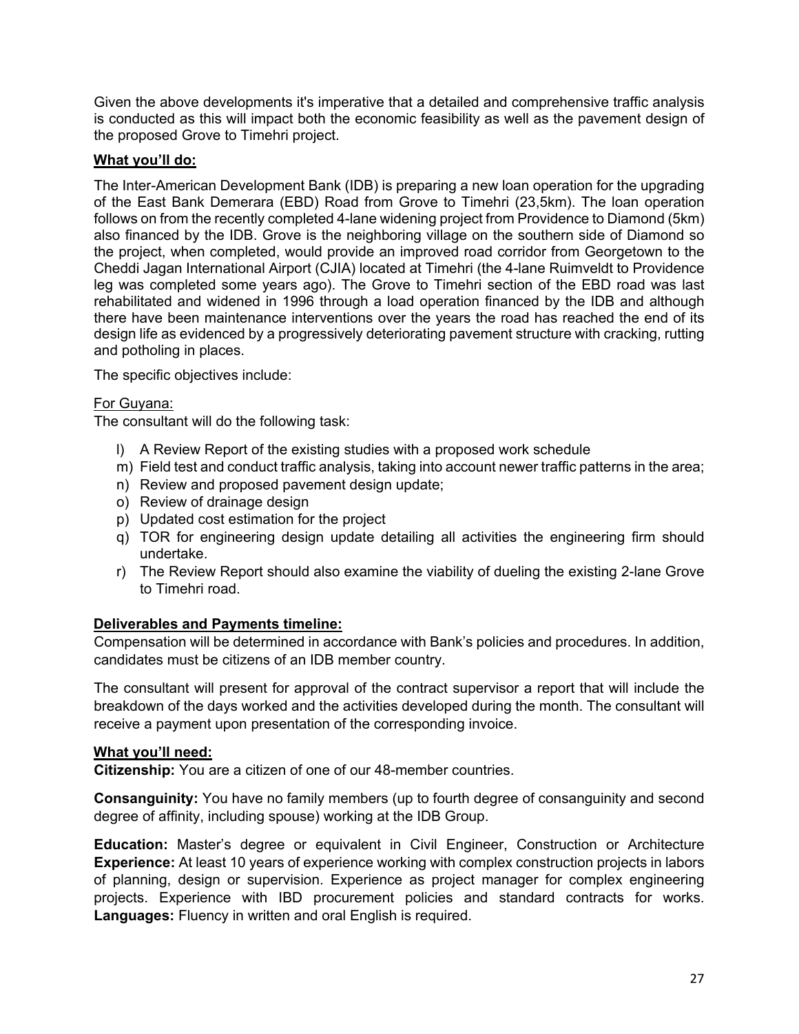Given the above developments it's imperative that a detailed and comprehensive traffic analysis is conducted as this will impact both the economic feasibility as well as the pavement design of the proposed Grove to Timehri project.

# **What you'll do:**

The Inter-American Development Bank (IDB) is preparing a new loan operation for the upgrading of the East Bank Demerara (EBD) Road from Grove to Timehri (23,5km). The loan operation follows on from the recently completed 4-lane widening project from Providence to Diamond (5km) also financed by the IDB. Grove is the neighboring village on the southern side of Diamond so the project, when completed, would provide an improved road corridor from Georgetown to the Cheddi Jagan International Airport (CJIA) located at Timehri (the 4-lane Ruimveldt to Providence leg was completed some years ago). The Grove to Timehri section of the EBD road was last rehabilitated and widened in 1996 through a load operation financed by the IDB and although there have been maintenance interventions over the years the road has reached the end of its design life as evidenced by a progressively deteriorating pavement structure with cracking, rutting and potholing in places.

The specific objectives include:

# For Guyana:

The consultant will do the following task:

- l) A Review Report of the existing studies with a proposed work schedule
- m) Field test and conduct traffic analysis, taking into account newer traffic patterns in the area;
- n) Review and proposed pavement design update;
- o) Review of drainage design
- p) Updated cost estimation for the project
- q) TOR for engineering design update detailing all activities the engineering firm should undertake.
- r) The Review Report should also examine the viability of dueling the existing 2-lane Grove to Timehri road.

# **Deliverables and Payments timeline:**

Compensation will be determined in accordance with Bank's policies and procedures. In addition, candidates must be citizens of an IDB member country.

The consultant will present for approval of the contract supervisor a report that will include the breakdown of the days worked and the activities developed during the month. The consultant will receive a payment upon presentation of the corresponding invoice.

# **What you'll need:**

**Citizenship:** You are a citizen of one of our 48-member countries.

**Consanguinity:** You have no family members (up to fourth degree of consanguinity and second degree of affinity, including spouse) working at the IDB Group.

**Education:** Master's degree or equivalent in Civil Engineer, Construction or Architecture **Experience:** At least 10 years of experience working with complex construction projects in labors of planning, design or supervision. Experience as project manager for complex engineering projects. Experience with IBD procurement policies and standard contracts for works. **Languages:** Fluency in written and oral English is required.